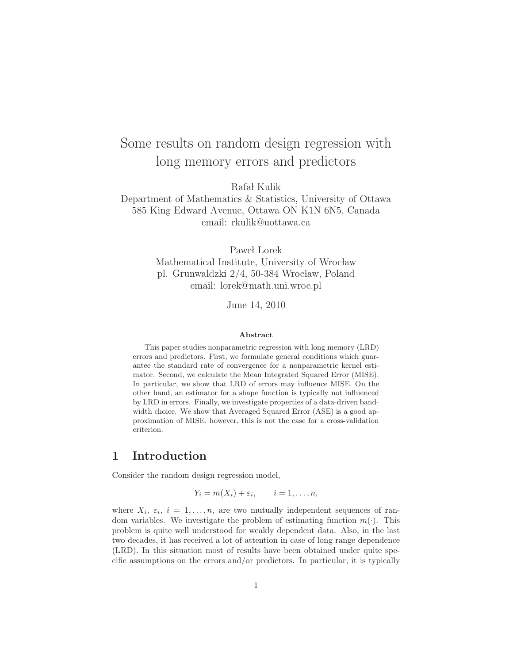# Some results on random design regression with long memory errors and predictors

Rafał Kulik

## Department of Mathematics & Statistics, University of Ottawa 585 King Edward Avenue, Ottawa ON K1N 6N5, Canada email: rkulik@uottawa.ca

Paweł Lorek Mathematical Institute, University of Wrocław pl. Grunwaldzki 2/4, 50-384 Wrocław, Poland email: lorek@math.uni.wroc.pl

June 14, 2010

#### Abstract

This paper studies nonparametric regression with long memory (LRD) errors and predictors. First, we formulate general conditions which guarantee the standard rate of convergence for a nonparametric kernel estimator. Second, we calculate the Mean Integrated Squared Error (MISE). In particular, we show that LRD of errors may influence MISE. On the other hand, an estimator for a shape function is typically not influenced by LRD in errors. Finally, we investigate properties of a data-driven bandwidth choice. We show that Averaged Squared Error (ASE) is a good approximation of MISE, however, this is not the case for a cross-validation criterion.

## 1 Introduction

Consider the random design regression model,

 $Y_i = m(X_i) + \varepsilon_i, \qquad i = 1, \ldots, n,$ 

where  $X_i$ ,  $\varepsilon_i$ ,  $i = 1, \ldots, n$ , are two mutually independent sequences of random variables. We investigate the problem of estimating function  $m(\cdot)$ . This problem is quite well understood for weakly dependent data. Also, in the last two decades, it has received a lot of attention in case of long range dependence (LRD). In this situation most of results have been obtained under quite specific assumptions on the errors and/or predictors. In particular, it is typically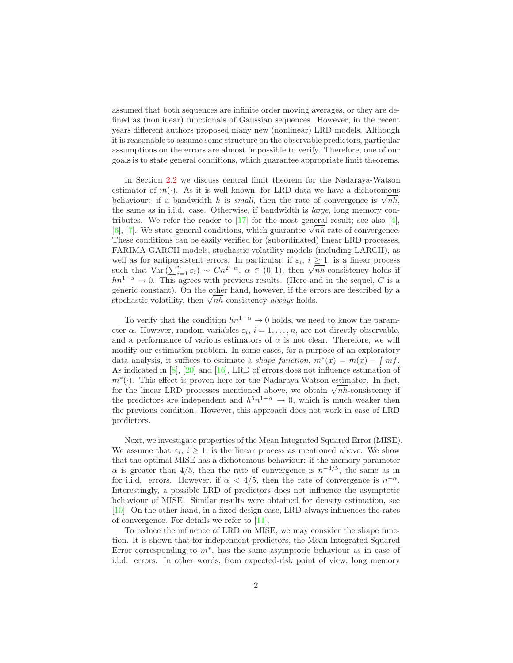assumed that both sequences are infinite order moving averages, or they are defined as (nonlinear) functionals of Gaussian sequences. However, in the recent years different authors proposed many new (nonlinear) LRD models. Although it is reasonable to assume some structure on the observable predictors, particular assumptions on the errors are almost impossible to verify. Therefore, one of our goals is to state general conditions, which guarantee appropriate limit theorems.

In Section [2.2](#page-4-0) we discuss central limit theorem for the Nadaraya-Watson estimator of  $m(\cdot)$ . As it is well known, for LRD data we have a dichotomous behaviour: if a bandwidth h is *small*, then the rate of convergence is  $\sqrt{nh}$ , the same as in i.i.d. case. Otherwise, if bandwidth is large, long memory contributes. We refer the reader to  $[17]$  for the most general result; see also  $[4]$ , (6), [\[7\]](#page-24-3). We state general conditions, which guarantee  $\sqrt{nh}$  rate of convergence. These conditions can be easily verified for (subordinated) linear LRD processes, FARIMA-GARCH models, stochastic volatility models (including LARCH), as well as for antipersistent errors. In particular, if  $\varepsilon_i$ ,  $i \geq 1$ , is a linear process such that Var  $(\sum_{i=1}^{n} \varepsilon_i) \sim Cn^{2-\alpha}, \ \alpha \in (0,1)$ , then  $\sqrt{n}h$ -consistency holds if  $hn^{1-\alpha} \to 0$ . This agrees with previous results. (Here and in the sequel, C is a generic constant). On the other hand, however, if the errors are described by a stochastic volatility, then  $\sqrt{nh}$ -consistency *always* holds.

To verify that the condition  $hn^{1-\alpha} \to 0$  holds, we need to know the parameter  $\alpha$ . However, random variables  $\varepsilon_i$ ,  $i = 1, \ldots, n$ , are not directly observable, and a performance of various estimators of  $\alpha$  is not clear. Therefore, we will modify our estimation problem. In some cases, for a purpose of an exploratory data analysis, it suffices to estimate a *shape function*,  $m^*(x) = m(x) - \int mf$ . As indicated in  $[8]$ ,  $[20]$  and  $[16]$ , LRD of errors does not influence estimation of m<sup>∗</sup> (·). This effect is proven here for the Nadaraya-Watson estimator. In fact, for the linear LRD processes mentioned above, we obtain  $\sqrt{nh}$ -consistency if the predictors are independent and  $h^5n^{1-\alpha} \to 0$ , which is much weaker then the previous condition. However, this approach does not work in case of LRD predictors.

Next, we investigate properties of the Mean Integrated Squared Error (MISE). We assume that  $\varepsilon_i$ ,  $i \geq 1$ , is the linear process as mentioned above. We show that the optimal MISE has a dichotomous behaviour: if the memory parameter  $\alpha$  is greater than 4/5, then the rate of convergence is  $n^{-4/5}$ , the same as in for i.i.d. errors. However, if  $\alpha < 4/5$ , then the rate of convergence is  $n^{-\alpha}$ . Interestingly, a possible LRD of predictors does not influence the asymptotic behaviour of MISE. Similar results were obtained for density estimation, see [\[10\]](#page-24-6). On the other hand, in a fixed-design case, LRD always influences the rates of convergence. For details we refer to [\[11\]](#page-24-7).

To reduce the influence of LRD on MISE, we may consider the shape function. It is shown that for independent predictors, the Mean Integrated Squared Error corresponding to  $m^*$ , has the same asymptotic behaviour as in case of i.i.d. errors. In other words, from expected-risk point of view, long memory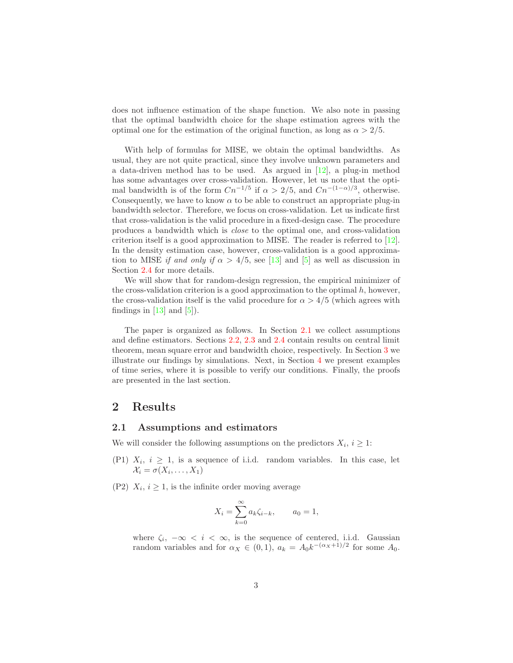does not influence estimation of the shape function. We also note in passing that the optimal bandwidth choice for the shape estimation agrees with the optimal one for the estimation of the original function, as long as  $\alpha > 2/5$ .

With help of formulas for MISE, we obtain the optimal bandwidths. As usual, they are not quite practical, since they involve unknown parameters and a data-driven method has to be used. As argued in [\[12\]](#page-24-8), a plug-in method has some advantages over cross-validation. However, let us note that the optimal bandwidth is of the form  $Cn^{-1/5}$  if  $\alpha > 2/5$ , and  $Cn^{-(1-\alpha)/3}$ , otherwise. Consequently, we have to know  $\alpha$  to be able to construct an appropriate plug-in bandwidth selector. Therefore, we focus on cross-validation. Let us indicate first that cross-validation is the valid procedure in a fixed-design case. The procedure produces a bandwidth which is close to the optimal one, and cross-validation criterion itself is a good approximation to MISE. The reader is referred to [\[12\]](#page-24-8). In the density estimation case, however, cross-validation is a good approximation to MISE if and only if  $\alpha > 4/5$ , see [\[13\]](#page-24-9) and [\[5\]](#page-24-10) as well as discussion in Section [2.4](#page-6-0) for more details.

We will show that for random-design regression, the empirical minimizer of the cross-validation criterion is a good approximation to the optimal  $h$ , however, the cross-validation itself is the valid procedure for  $\alpha > 4/5$  (which agrees with findings in  $[13]$  and  $[5]$ ).

The paper is organized as follows. In Section [2.1](#page-2-0) we collect assumptions and define estimators. Sections [2.2,](#page-4-0) [2.3](#page-5-0) and [2.4](#page-6-0) contain results on central limit theorem, mean square error and bandwidth choice, respectively. In Section [3](#page-8-0) we illustrate our findings by simulations. Next, in Section [4](#page-9-0) we present examples of time series, where it is possible to verify our conditions. Finally, the proofs are presented in the last section.

## <span id="page-2-0"></span>2 Results

### 2.1 Assumptions and estimators

We will consider the following assumptions on the predictors  $X_i, i \geq 1$ :

- (P1)  $X_i$ ,  $i \geq 1$ , is a sequence of i.i.d. random variables. In this case, let  $\mathcal{X}_i = \sigma(X_i, \ldots, X_1)$
- (P2)  $X_i$ ,  $i \geq 1$ , is the infinite order moving average

$$
X_i = \sum_{k=0}^{\infty} a_k \zeta_{i-k}, \qquad a_0 = 1,
$$

where  $\zeta_i$ ,  $-\infty < i < \infty$ , is the sequence of centered, i.i.d. Gaussian random variables and for  $\alpha_X \in (0,1)$ ,  $a_k = A_0 k^{-(\alpha_X + 1)/2}$  for some  $A_0$ .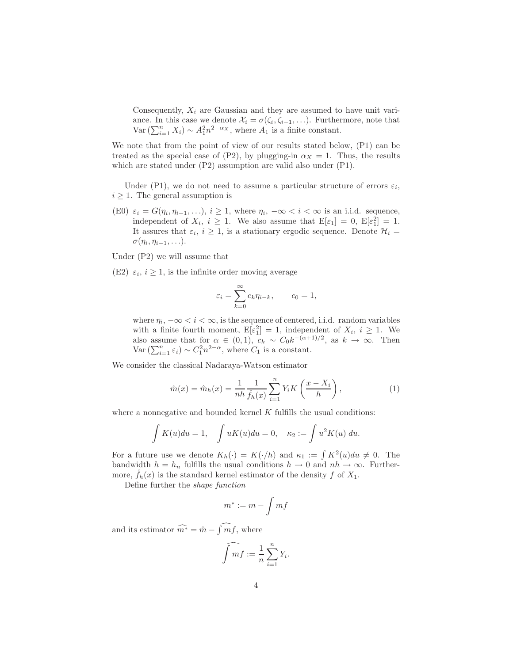Consequently,  $X_i$  are Gaussian and they are assumed to have unit variance. In this case we denote  $\mathcal{X}_i = \sigma(\zeta_i, \zeta_{i-1}, \ldots)$ . Furthermore, note that Var  $(\sum_{i=1}^{n} X_i) \sim A_1^2 n^{2-\alpha_X}$ , where  $A_1$  is a finite constant.

We note that from the point of view of our results stated below,  $(P1)$  can be treated as the special case of (P2), by plugging-in  $\alpha_X = 1$ . Thus, the results which are stated under (P2) assumption are valid also under (P1).

Under (P1), we do not need to assume a particular structure of errors  $\varepsilon_i$ ,  $i \geq 1$ . The general assumption is

(E0)  $\varepsilon_i = G(\eta_i, \eta_{i-1}, \ldots), i \geq 1$ , where  $\eta_i, -\infty < i < \infty$  is an i.i.d. sequence, independent of  $X_i$ ,  $i \geq 1$ . We also assume that  $E[\varepsilon_1] = 0$ ,  $E[\varepsilon_1^2] = 1$ . It assures that  $\varepsilon_i$ ,  $i \geq 1$ , is a stationary ergodic sequence. Denote  $\mathcal{H}_i =$  $\sigma(\eta_i, \eta_{i-1}, \ldots).$ 

Under (P2) we will assume that

(E2)  $\varepsilon_i$ ,  $i \geq 1$ , is the infinite order moving average

$$
\varepsilon_i = \sum_{k=0}^{\infty} c_k \eta_{i-k}, \qquad c_0 = 1,
$$

where  $\eta_i$ ,  $-\infty < i < \infty$ , is the sequence of centered, i.i.d. random variables with a finite fourth moment,  $E[\varepsilon_1^2] = 1$ , independent of  $X_i$ ,  $i \geq 1$ . We also assume that for  $\alpha \in (0,1)$ ,  $c_k \sim C_0 k^{-(\alpha+1)/2}$ , as  $k \to \infty$ . Then Var  $(\sum_{i=1}^n \varepsilon_i) \sim C_1^2 n^{2-\alpha}$ , where  $C_1$  is a constant.

<span id="page-3-0"></span>We consider the classical Nadaraya-Watson estimator

$$
\hat{m}(x) = \hat{m}_h(x) = \frac{1}{nh} \frac{1}{\hat{f}_h(x)} \sum_{i=1}^n Y_i K\left(\frac{x - X_i}{h}\right),\tag{1}
$$

where a nonnegative and bounded kernel  $K$  fulfills the usual conditions:

$$
\int K(u)du = 1, \quad \int uK(u)du = 0, \quad \kappa_2 := \int u^2K(u) du.
$$

For a future use we denote  $K_h(\cdot) = K(\cdot/h)$  and  $\kappa_1 := \int K^2(u) du \neq 0$ . The bandwidth  $h = h_n$  fulfills the usual conditions  $h \to 0$  and  $nh \to \infty$ . Furthermore,  $f_h(x)$  is the standard kernel estimator of the density f of  $X_1$ .

Define further the shape function

$$
m^* := m - \int mf
$$

and its estimator  $\widehat{m^*} = \widehat{m} - \widehat{\int m f}$ , where

$$
\widehat{\int mf} := \frac{1}{n} \sum_{i=1}^{n} Y_i.
$$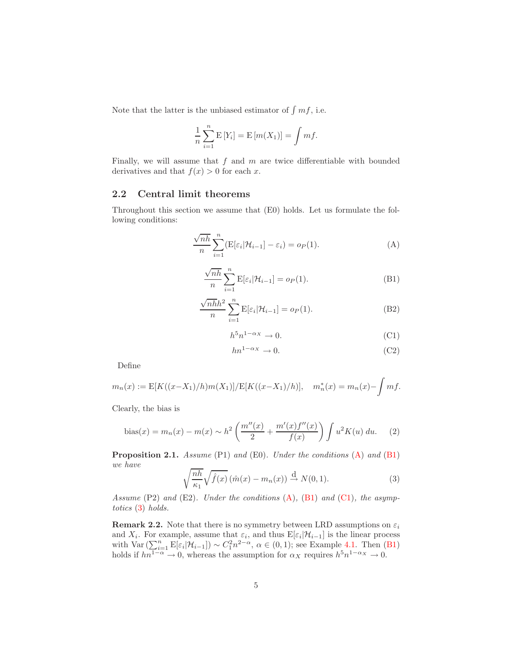Note that the latter is the unbiased estimator of  $\int mf$ , i.e.

$$
\frac{1}{n}\sum_{i=1}^{n} \mathbb{E}[Y_i] = \mathbb{E}[m(X_1)] = \int mf.
$$

Finally, we will assume that  $f$  and  $m$  are twice differentiable with bounded derivatives and that  $f(x) > 0$  for each x.

### <span id="page-4-0"></span>2.2 Central limit theorems

<span id="page-4-1"></span>Throughout this section we assume that (E0) holds. Let us formulate the following conditions:

$$
\frac{\sqrt{nh}}{n} \sum_{i=1}^{n} (E[\varepsilon_i | \mathcal{H}_{i-1}] - \varepsilon_i) = o_P(1).
$$
 (A)

<span id="page-4-2"></span>
$$
\frac{\sqrt{nh}}{n} \sum_{i=1}^{n} \mathbf{E}[\varepsilon_i | \mathcal{H}_{i-1}] = o_P(1).
$$
 (B1)

<span id="page-4-6"></span><span id="page-4-5"></span><span id="page-4-3"></span>
$$
\frac{\sqrt{n h}h^2}{n} \sum_{i=1}^{n} \mathbf{E}[\varepsilon_i|\mathcal{H}_{i-1}] = o_P(1). \tag{B2}
$$

$$
h^5 n^{1-\alpha x} \to 0. \tag{C1}
$$

$$
hn^{1-\alpha_X} \to 0. \tag{C2}
$$

Define

$$
m_n(x) := \mathbb{E}[K((x - X_1)/h)m(X_1)]/\mathbb{E}[K((x - X_1)/h)], \quad m_n^*(x) = m_n(x) - \int mf.
$$

<span id="page-4-9"></span>Clearly, the bias is

bias(x) = 
$$
m_n(x) - m(x) \sim h^2 \left( \frac{m''(x)}{2} + \frac{m'(x)f''(x)}{f(x)} \right) \int u^2 K(u) du.
$$
 (2)

<span id="page-4-8"></span>Proposition 2.1. Assume (P1) and (E0). Under the conditions [\(A\)](#page-4-1) and [\(B1\)](#page-4-2) we have

$$
\sqrt{\frac{nh}{\kappa_1}}\sqrt{\hat{f}(x)}\left(\hat{m}(x) - m_n(x)\right) \stackrel{\text{d}}{\to} N(0, 1). \tag{3}
$$

<span id="page-4-4"></span>Assume  $(P2)$  and  $(E2)$ . Under the conditions  $(A)$ ,  $(B1)$  and  $(C1)$ , the asymptotics [\(3\)](#page-4-4) holds.

<span id="page-4-7"></span>**Remark 2.2.** Note that there is no symmetry between LRD assumptions on  $\varepsilon_i$ and  $X_i$ . For example, assume that  $\varepsilon_i$ , and thus  $E[\varepsilon_i|\mathcal{H}_{i-1}]$  is the linear process with  $\text{Var}\left(\sum_{i=1}^{n} \text{E}[\varepsilon_i|\mathcal{H}_{i-1}]\right) \sim C_1^2 n^{2-\alpha}, \ \alpha \in (0,1);$  see Example [4.1.](#page-9-1) Then  $(B1)$ holds if  $hn^{1-\alpha} \to 0$ , whereas the assumption for  $\alpha_X$  requires  $h^5 n^{1-\alpha_X} \to 0$ .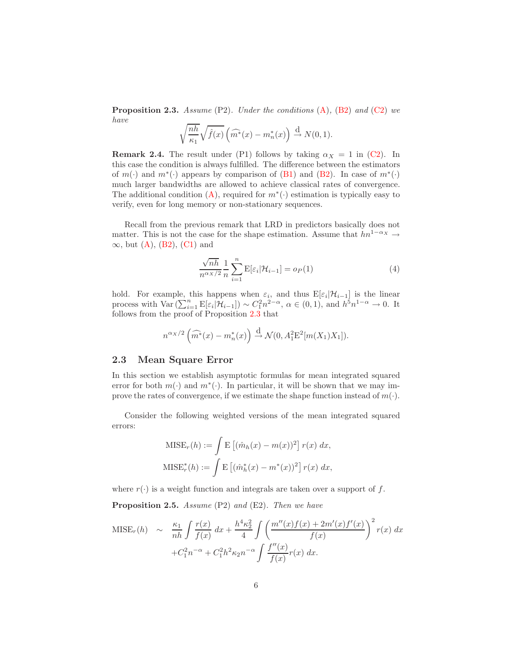**Proposition 2.3.** Assume  $(P2)$ . Under the conditions  $(A)$ ,  $(B2)$  and  $(C2)$  we have

$$
\sqrt{\frac{nh}{\kappa_1}}\sqrt{\hat{f}(x)}\left(\widehat{m^*}(x)-m_n^*(x)\right) \stackrel{\text{d}}{\to} N(0,1).
$$

**Remark 2.4.** The result under (P1) follows by taking  $\alpha_X = 1$  in [\(C2\)](#page-4-6). In this case the condition is always fulfilled. The difference between the estimators of  $m(\cdot)$  and  $m^*(\cdot)$  appears by comparison of [\(B1\)](#page-4-2) and [\(B2\)](#page-4-5). In case of  $m^*(\cdot)$ much larger bandwidths are allowed to achieve classical rates of convergence. The additional condition  $(A)$ , required for  $m^*(\cdot)$  estimation is typically easy to verify, even for long memory or non-stationary sequences.

Recall from the previous remark that LRD in predictors basically does not matter. This is not the case for the shape estimation. Assume that  $hn^{1-\alpha_X}\to$  $\infty$ , but [\(A\)](#page-4-1), [\(B2\)](#page-4-5), [\(C1\)](#page-4-3) and

$$
\frac{\sqrt{nh}}{n^{\alpha x/2}} \frac{1}{n} \sum_{i=1}^{n} \mathbf{E}[\varepsilon_i | \mathcal{H}_{i-1}] = o_P(1)
$$
\n(4)

<span id="page-5-2"></span>hold. For example, this happens when  $\varepsilon_i$ , and thus  $E[\varepsilon_i|\mathcal{H}_{i-1}]$  is the linear process with  $\text{Var}\left(\sum_{i=1}^n \mathbb{E}[\varepsilon_i | \mathcal{H}_{i-1}]\right) \sim C_1^2 n^{2-\alpha}, \ \alpha \in (0,1), \text{ and } h^5 n^{1-\alpha} \to 0.$  It follows from the proof of Proposition [2.3](#page-4-7) that

$$
n^{\alpha_X/2} \left( \widehat{m^*}(x) - m_n^*(x) \right) \stackrel{\mathrm{d}}{\rightarrow} \mathcal{N}(0, A_1^2 \mathbb{E}^2[m(X_1)X_1]).
$$

### <span id="page-5-0"></span>2.3 Mean Square Error

In this section we establish asymptotic formulas for mean integrated squared error for both  $m(\cdot)$  and  $m^*(\cdot)$ . In particular, it will be shown that we may improve the rates of convergence, if we estimate the shape function instead of  $m(\cdot)$ .

Consider the following weighted versions of the mean integrated squared errors:

$$
\text{MISE}_r(h) := \int \mathbb{E}\left[ (\hat{m}_h(x) - m(x))^2 \right] r(x) dx,
$$
  

$$
\text{MISE}_r^*(h) := \int \mathbb{E}\left[ (\hat{m}_h^*(x) - m^*(x))^2 \right] r(x) dx,
$$

<span id="page-5-1"></span>where  $r(\cdot)$  is a weight function and integrals are taken over a support of f.

Proposition 2.5. Assume (P2) and (E2). Then we have

$$
\begin{aligned} \text{MISE}_{r}(h) &\sim \frac{\kappa_{1}}{nh} \int \frac{r(x)}{f(x)} \, dx + \frac{h^4 \kappa_{2}^2}{4} \int \left( \frac{m''(x)f(x) + 2m'(x)f'(x)}{f(x)} \right)^2 r(x) \, dx \\ &+ C_{1}^2 n^{-\alpha} + C_{1}^2 h^2 \kappa_{2} n^{-\alpha} \int \frac{f''(x)}{f(x)} r(x) \, dx. \end{aligned}
$$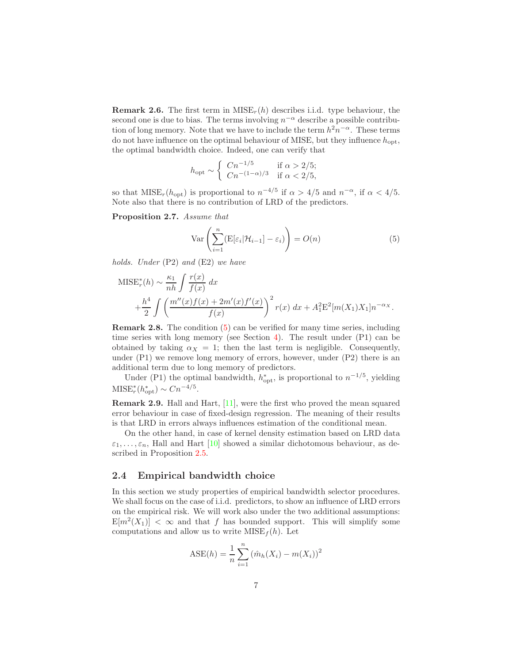**Remark 2.6.** The first term in  $MISE_r(h)$  describes i.i.d. type behaviour, the second one is due to bias. The terms involving  $n^{-\alpha}$  describe a possible contribution of long memory. Note that we have to include the term  $h^2n^{-\alpha}$ . These terms do not have influence on the optimal behaviour of MISE, but they influence  $h_{opt}$ , the optimal bandwidth choice. Indeed, one can verify that

$$
h_{\rm opt} \sim \left\{ \begin{array}{ll} C n^{-1/5} & \text{if } \alpha > 2/5; \\ C n^{-(1-\alpha)/3} & \text{if } \alpha < 2/5, \end{array} \right.
$$

so that  $MISE_r(h_{opt})$  is proportional to  $n^{-4/5}$  if  $\alpha > 4/5$  and  $n^{-\alpha}$ , if  $\alpha < 4/5$ . Note also that there is no contribution of LRD of the predictors.

<span id="page-6-2"></span><span id="page-6-1"></span>Proposition 2.7. Assume that

$$
\operatorname{Var}\left(\sum_{i=1}^{n} (E[\varepsilon_i | \mathcal{H}_{i-1}] - \varepsilon_i)\right) = O(n) \tag{5}
$$

holds. Under (P2) and (E2) we have

$$
MISEr*(h) \sim \frac{\kappa_1}{nh} \int \frac{r(x)}{f(x)} dx + \frac{h^4}{2} \int \left( \frac{m''(x)f(x) + 2m'(x)f'(x)}{f(x)} \right)^2 r(x) dx + A_1^2 E^2[m(X_1)X_1]n^{-\alpha_X}.
$$

Remark 2.8. The condition [\(5\)](#page-6-1) can be verified for many time series, including time series with long memory (see Section [4\)](#page-9-0). The result under (P1) can be obtained by taking  $\alpha_X = 1$ ; then the last term is negligible. Consequently, under (P1) we remove long memory of errors, however, under (P2) there is an additional term due to long memory of predictors.

Under (P1) the optimal bandwidth,  $h_{\text{opt}}^*$ , is proportional to  $n^{-1/5}$ , yielding  $MISE_r^*(h_{\rm opt}^*) \sim Cn^{-4/5}.$ 

Remark 2.9. Hall and Hart, [\[11\]](#page-24-7), were the first who proved the mean squared error behaviour in case of fixed-design regression. The meaning of their results is that LRD in errors always influences estimation of the conditional mean.

On the other hand, in case of kernel density estimation based on LRD data  $\varepsilon_1, \ldots, \varepsilon_n$ , Hall and Hart [\[10\]](#page-24-6) showed a similar dichotomous behaviour, as described in Proposition [2.5.](#page-5-1)

### <span id="page-6-0"></span>2.4 Empirical bandwidth choice

In this section we study properties of empirical bandwidth selector procedures. We shall focus on the case of i.i.d. predictors, to show an influence of LRD errors on the empirical risk. We will work also under the two additional assumptions:  $E[m^2(X_1)] < \infty$  and that f has bounded support. This will simplify some computations and allow us to write  $MISE<sub>f</sub>(h)$ . Let

$$
ASE(h) = \frac{1}{n} \sum_{i=1}^{n} (\hat{m}_h(X_i) - m(X_i))^2
$$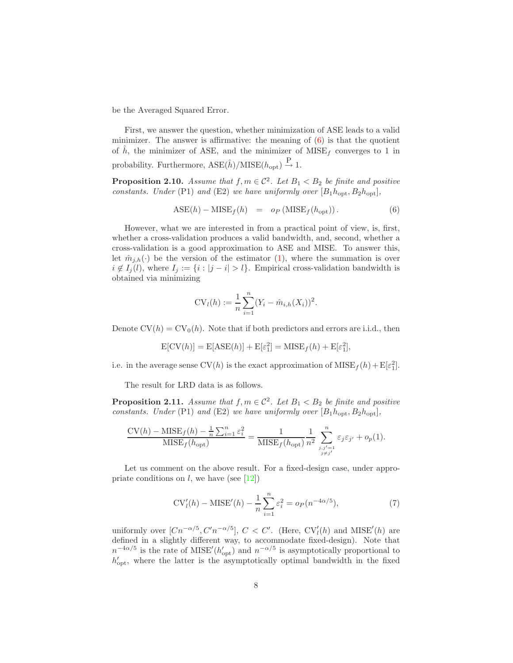be the Averaged Squared Error.

First, we answer the question, whether minimization of ASE leads to a valid minimizer. The answer is affirmative: the meaning of  $(6)$  is that the quotient of  $\hat{h}$ , the minimizer of ASE, and the minimizer of MISE<sub>f</sub> converges to 1 in probability. Furthermore,  $\text{ASE}(\hat{h})/\text{MISE}(h_{\text{opt}}) \stackrel{\text{P}}{\rightarrow} 1$ .

**Proposition 2.10.** Assume that  $f, m \in \mathcal{C}^2$ . Let  $B_1 < B_2$  be finite and positive constants. Under (P1) and (E2) we have uniformly over  $[B_1h_{\text{opt}}, B_2h_{\text{opt}}]$ ,

$$
ASE(h) - MISE_f(h) = o_P(MISE_f(h_{opt})).
$$
\n(6)

<span id="page-7-0"></span>However, what we are interested in from a practical point of view, is, first, whether a cross-validation produces a valid bandwidth, and, second, whether a cross-validation is a good approximation to ASE and MISE. To answer this, let  $\hat{m}_{j,h}(\cdot)$  be the version of the estimator [\(1\)](#page-3-0), where the summation is over  $i \notin I_j(l)$ , where  $I_j := \{i : |j - i| > l\}$ . Empirical cross-validation bandwidth is obtained via minimizing

$$
CV_l(h) := \frac{1}{n} \sum_{i=1}^{n} (Y_i - \hat{m}_{i,h}(X_i))^2.
$$

Denote  $CV(h) = CV_0(h)$ . Note that if both predictors and errors are i.i.d., then

$$
E[CV(h)] = E[ASE(h)] + E[\varepsilon_1^2] = MISE_f(h) + E[\varepsilon_1^2],
$$

i.e. in the average sense  $CV(h)$  is the exact approximation of  $MISE_f(h) + E[\varepsilon_1^2]$ .

The result for LRD data is as follows.

<span id="page-7-2"></span>**Proposition 2.11.** Assume that  $f, m \in \mathcal{C}^2$ . Let  $B_1 < B_2$  be finite and positive constants. Under (P1) and (E2) we have uniformly over  $[B_1h_{\text{opt}}, B_2h_{\text{opt}}]$ ,

$$
\frac{\text{CV}(h) - \text{MISE}_{f}(h) - \frac{1}{n} \sum_{i=1}^{n} \varepsilon_{i}^{2}}{\text{MISE}_{f}(h_{\text{opt}})} = \frac{1}{\text{MISE}_{f}(h_{\text{opt}})} \frac{1}{n^{2}} \sum_{\substack{j,j'=1 \ j \neq j'}}^{n} \varepsilon_{j} \varepsilon_{j'} + o_{p}(1).
$$

Let us comment on the above result. For a fixed-design case, under appropriate conditions on  $l$ , we have (see [\[12\]](#page-24-8))

$$
CV'_{l}(h) - \text{MISE}'(h) - \frac{1}{n} \sum_{i=1}^{n} \varepsilon_i^2 = o_P(n^{-4\alpha/5}),
$$
\n(7)

<span id="page-7-1"></span>uniformly over  $[Cn^{-\alpha/5}, C'n^{-\alpha/5}], C < C'$ . (Here,  $CV'_{l}(h)$  and  $MISE'(h)$  are defined in a slightly different way, to accommodate fixed-design). Note that  $n^{-4\alpha/5}$  is the rate of MISE<sup> $\prime$ </sup>( $h_{\text{opt}}^{\prime}$ ) and  $n^{-\alpha/5}$  is asymptotically proportional to  $h'_{\text{opt}}$ , where the latter is the asymptotically optimal bandwidth in the fixed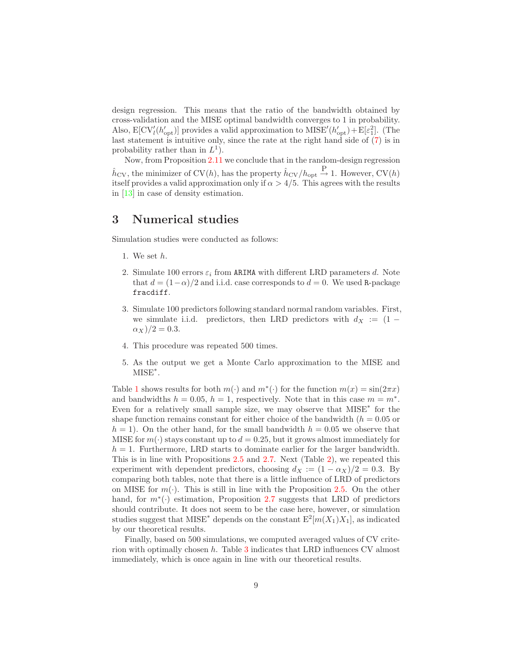design regression. This means that the ratio of the bandwidth obtained by cross-validation and the MISE optimal bandwidth converges to 1 in probability. Also,  $E[CV'_{l}(h'_{opt})]$  provides a valid approximation to  $MISE'(h'_{opt}) + E[\varepsilon_1^2]$ . (The last statement is intuitive only, since the rate at the right hand side of [\(7\)](#page-7-1) is in probability rather than in  $L^1$ ).

Now, from Proposition [2.11](#page-7-2) we conclude that in the random-design regression  $\hat{h}_{\text{CV}}$ , the minimizer of CV(h), has the property  $\hat{h}_{\text{CV}}/h_{\text{opt}} \stackrel{\text{P}}{\rightarrow} 1$ . However, CV(h) itself provides a valid approximation only if  $\alpha > 4/5$ . This agrees with the results in [\[13\]](#page-24-9) in case of density estimation.

## <span id="page-8-0"></span>3 Numerical studies

Simulation studies were conducted as follows:

- 1. We set h.
- 2. Simulate 100 errors  $\varepsilon_i$  from ARIMA with different LRD parameters d. Note that  $d = (1 - \alpha)/2$  and i.i.d. case corresponds to  $d = 0$ . We used R-package fracdiff.
- 3. Simulate 100 predictors following standard normal random variables. First, we simulate i.i.d. predictors, then LRD predictors with  $d_X := (1 \alpha_X)/2 = 0.3.$
- 4. This procedure was repeated 500 times.
- 5. As the output we get a Monte Carlo approximation to the MISE and MISE<sup>∗</sup> .

Table [1](#page-9-2) shows results for both  $m(\cdot)$  and  $m^*(\cdot)$  for the function  $m(x) = \sin(2\pi x)$ and bandwidths  $h = 0.05$ ,  $h = 1$ , respectively. Note that in this case  $m = m^*$ . Even for a relatively small sample size, we may observe that MISE<sup>∗</sup> for the shape function remains constant for either choice of the bandwidth ( $h = 0.05$  or  $h = 1$ . On the other hand, for the small bandwidth  $h = 0.05$  we observe that MISE for  $m(\cdot)$  stays constant up to  $d = 0.25$ , but it grows almost immediately for  $h = 1$ . Furthermore, LRD starts to dominate earlier for the larger bandwidth. This is in line with Propositions [2.5](#page-5-1) and [2.7.](#page-6-2) Next (Table [2\)](#page-9-3), we repeated this experiment with dependent predictors, choosing  $d_X := (1 - \alpha_X)/2 = 0.3$ . By comparing both tables, note that there is a little influence of LRD of predictors on MISE for  $m(\cdot)$ . This is still in line with the Proposition [2.5.](#page-5-1) On the other hand, for  $m^*(\cdot)$  estimation, Proposition [2.7](#page-6-2) suggests that LRD of predictors should contribute. It does not seem to be the case here, however, or simulation studies suggest that MISE<sup>\*</sup> depends on the constant  $E^2[m(X_1)X_1]$ , as indicated by our theoretical results.

Finally, based on 500 simulations, we computed averaged values of CV criterion with optimally chosen h. Table [3](#page-10-0) indicates that LRD influences CV almost immediately, which is once again in line with our theoretical results.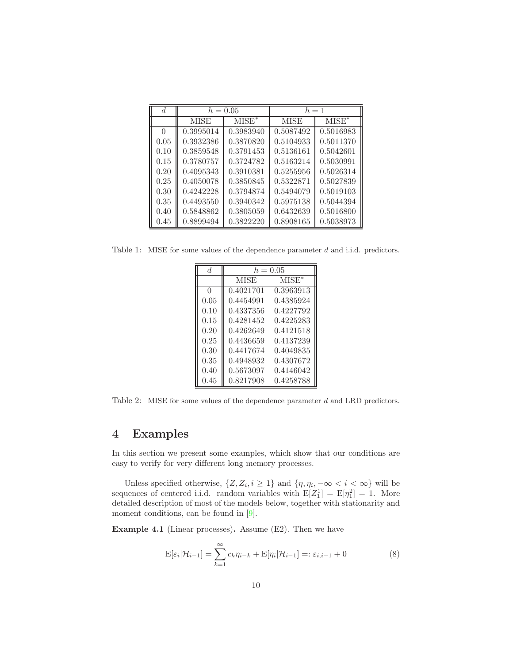| d          | $h = 0.05$  |           | $h=1$     |           |
|------------|-------------|-----------|-----------|-----------|
|            | <b>MISE</b> | $MISE^*$  | MISE      | $MISE^*$  |
| 0          | 0.3995014   | 0.3983940 | 0.5087492 | 0.5016983 |
| 0.05       | 0.3932386   | 0.3870820 | 0.5104933 | 0.5011370 |
| 0.10       | 0.3859548   | 0.3791453 | 0.5136161 | 0.5042601 |
| 0.15       | 0.3780757   | 0.3724782 | 0.5163214 | 0.5030991 |
| 0.20       | 0.4095343   | 0.3910381 | 0.5255956 | 0.5026314 |
| 0.25       | 0.4050078   | 0.3850845 | 0.5322871 | 0.5027839 |
| 0.30       | 0.4242228   | 0.3794874 | 0.5494079 | 0.5019103 |
| 0.35       | 0.4493550   | 0.3940342 | 0.5975138 | 0.5044394 |
| 0.40       | 0.5848862   | 0.3805059 | 0.6432639 | 0.5016800 |
| $\rm 0.45$ | 0.8899494   | 0.3822220 | 0.8908165 | 0.5038973 |

<span id="page-9-2"></span>Table 1: MISE for some values of the dependence parameter d and i.i.d. predictors.

| $\overline{d}$ | $h = 0.05$  |           |  |
|----------------|-------------|-----------|--|
|                | <b>MISE</b> | $MISE^*$  |  |
| $\Omega$       | 0.4021701   | 0.3963913 |  |
| 0.05           | 0.4454991   | 0.4385924 |  |
| 0.10           | 0.4337356   | 0.4227792 |  |
| 0.15           | 0.4281452   | 0.4225283 |  |
| 0.20           | 0.4262649   | 0.4121518 |  |
| 0.25           | 0.4436659   | 0.4137239 |  |
| 0.30           | 0.4417674   | 0.4049835 |  |
| 0.35           | 0.4948932   | 0.4307672 |  |
| 0.40           | 0.5673097   | 0.4146042 |  |
| 0.45           | 0.8217908   | 0.4258788 |  |

<span id="page-9-3"></span>Table 2: MISE for some values of the dependence parameter d and LRD predictors.

## <span id="page-9-0"></span>4 Examples

In this section we present some examples, which show that our conditions are easy to verify for very different long memory processes.

Unless specified otherwise,  $\{Z, Z_i, i \geq 1\}$  and  $\{\eta, \eta_i, -\infty < i < \infty\}$  will be sequences of centered i.i.d. random variables with  $E[Z_1^1] = E[\eta_1^2] = 1$ . More detailed description of most of the models below, together with stationarity and moment conditions, can be found in  $[9]$ .

<span id="page-9-4"></span><span id="page-9-1"></span>Example 4.1 (Linear processes). Assume (E2). Then we have

$$
E[\varepsilon_i|\mathcal{H}_{i-1}] = \sum_{k=1}^{\infty} c_k \eta_{i-k} + E[\eta_i|\mathcal{H}_{i-1}] =: \varepsilon_{i,i-1} + 0
$$
\n(8)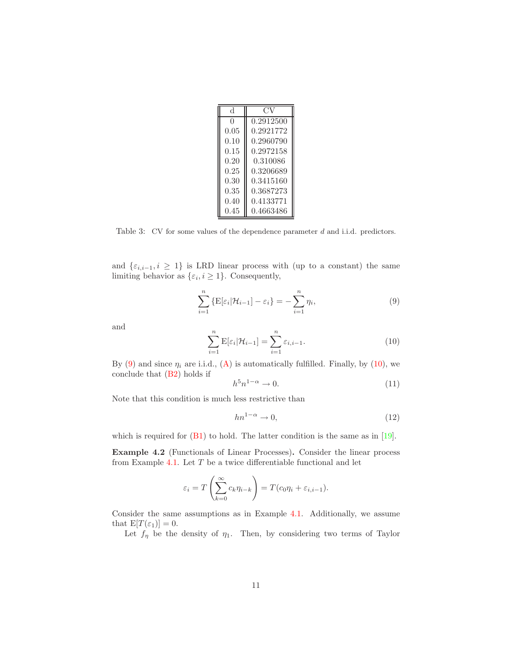| d             | ( )       |
|---------------|-----------|
| $\mathcal{O}$ | 0.2912500 |
| 0.05          | 0.2921772 |
| 0.10          | 0.2960790 |
| 0.15          | 0.2972158 |
| 0.20          | 0.310086  |
| 0.25          | 0.3206689 |
| 0.30          | 0.3415160 |
| 0.35          | 0.3687273 |
| 0.40          | 0.4133771 |
| 0.45          | 0.4663486 |

<span id="page-10-0"></span>Table 3: CV for some values of the dependence parameter d and i.i.d. predictors.

and  $\{\varepsilon_{i,i-1}, i \geq 1\}$  is LRD linear process with (up to a constant) the same limiting behavior as  $\{\varepsilon_i, i \geq 1\}$ . Consequently,

$$
\sum_{i=1}^{n} \left\{ \mathbf{E}[\varepsilon_i | \mathcal{H}_{i-1}] - \varepsilon_i \right\} = -\sum_{i=1}^{n} \eta_i,
$$
\n(9)

<span id="page-10-2"></span><span id="page-10-1"></span>and

$$
\sum_{i=1}^{n} \mathbf{E}[\varepsilon_i | \mathcal{H}_{i-1}] = \sum_{i=1}^{n} \varepsilon_{i,i-1}.
$$
 (10)

By [\(9\)](#page-10-1) and since  $\eta_i$  are i.i.d., [\(A\)](#page-4-1) is automatically fulfilled. Finally, by [\(10\)](#page-10-2), we conclude that [\(B2\)](#page-4-5) holds if

<span id="page-10-4"></span>
$$
h^5 n^{1-\alpha} \to 0. \tag{11}
$$

Note that this condition is much less restrictive than

<span id="page-10-5"></span>
$$
hn^{1-\alpha} \to 0,\tag{12}
$$

<span id="page-10-3"></span>which is required for  $(B1)$  to hold. The latter condition is the same as in  $[19]$ .

Example 4.2 (Functionals of Linear Processes). Consider the linear process from Example [4.1.](#page-9-1) Let  $T$  be a twice differentiable functional and let

$$
\varepsilon_i = T\left(\sum_{k=0}^{\infty} c_k \eta_{i-k}\right) = T(c_0 \eta_i + \varepsilon_{i,i-1}).
$$

Consider the same assumptions as in Example [4.1.](#page-9-1) Additionally, we assume that  $E[T(\varepsilon_1)]=0$ .

Let  $f_\eta$  be the density of  $\eta_1$ . Then, by considering two terms of Taylor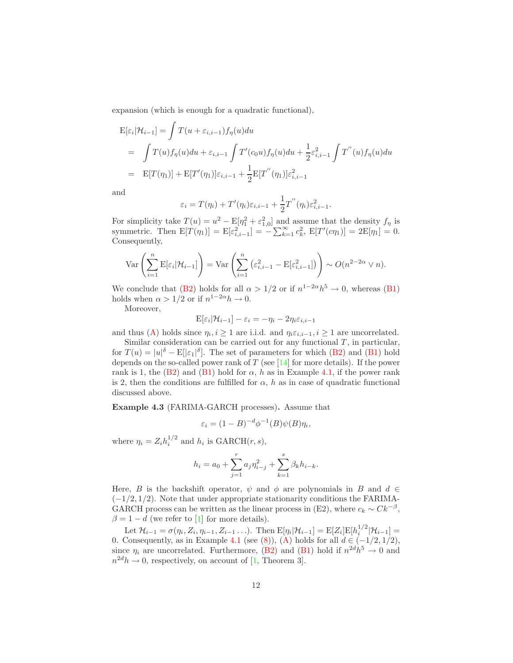expansion (which is enough for a quadratic functional),

$$
\begin{split} \mathcal{E}[\varepsilon_i|\mathcal{H}_{i-1}] &= \int T(u+\varepsilon_{i,i-1})f_\eta(u)du \\ &= \int T(u)f_\eta(u)du + \varepsilon_{i,i-1} \int T'(c_0u)f_\eta(u)du + \frac{1}{2}\varepsilon_{i,i-1}^2 \int T^{''}(u)f_\eta(u)du \\ &= \mathcal{E}[T(\eta_1)] + \mathcal{E}[T'(\eta_1)]\varepsilon_{i,i-1} + \frac{1}{2}\mathcal{E}[T^{''}(\eta_1)]\varepsilon_{i,i-1}^2 \end{split}
$$

and

$$
\varepsilon_i = T(\eta_i) + T'(\eta_i)\varepsilon_{i,i-1} + \frac{1}{2}T''(\eta_i)\varepsilon_{i,i-1}^2.
$$

For simplicity take  $T(u) = u^2 - \mathbb{E}[\eta_1^2 + \varepsilon_{1,0}^2]$  and assume that the density  $f_\eta$  is symmetric. Then  $E[T(\eta_1)] = E[\varepsilon_{i,i-1}^2] = -\sum_{k=1}^{\infty} c_k^2$ ,  $E[T'(c\eta_1)] = 2E[\eta_1] = 0$ . Consequently,

$$
\operatorname{Var}\left(\sum_{i=1}^n \mathbb{E}[\varepsilon_i|\mathcal{H}_{i-1}]\right) = \operatorname{Var}\left(\sum_{i=1}^n \left(\varepsilon_{i,i-1}^2 - \mathbb{E}[\varepsilon_{i,i-1}^2]\right)\right) \sim O(n^{2-2\alpha} \vee n).
$$

We conclude that [\(B2\)](#page-4-5) holds for all  $\alpha > 1/2$  or if  $n^{1-2\alpha}h^5 \to 0$ , whereas [\(B1\)](#page-4-2) holds when  $\alpha > 1/2$  or if  $n^{1-2\alpha}h \to 0$ .

Moreover,

$$
E[\varepsilon_i|\mathcal{H}_{i-1}] - \varepsilon_i = -\eta_i - 2\eta_i \varepsilon_{i,i-1}
$$

and thus [\(A\)](#page-4-1) holds since  $\eta_i, i \geq 1$  are i.i.d. and  $\eta_i \varepsilon_{i,i-1}, i \geq 1$  are uncorrelated.

Similar consideration can be carried out for any functional  $T$ , in particular, for  $T(u) = |u|^{\delta} - \mathbb{E}[|\varepsilon_1|^{\delta}]$ . The set of parameters for which [\(B2\)](#page-4-5) and [\(B1\)](#page-4-2) hold depends on the so-called power rank of  $T$  (see [\[14\]](#page-24-12) for more details). If the power rank is 1, the [\(B2\)](#page-4-5) and [\(B1\)](#page-4-2) hold for  $\alpha$ , h as in Example [4.1,](#page-9-1) if the power rank is 2, then the conditions are fulfilled for  $\alpha$ , h as in case of quadratic functional discussed above.

<span id="page-11-0"></span>Example 4.3 (FARIMA-GARCH processes). Assume that

$$
\varepsilon_i = (1 - B)^{-d} \phi^{-1}(B) \psi(B) \eta_i,
$$

where  $\eta_i = Z_i h_i^{1/2}$  and  $h_i$  is  $\text{GARCH}(r, s)$ ,

$$
h_i = a_0 + \sum_{j=1}^r a_j \eta_{i-j}^2 + \sum_{k=1}^s \beta_k h_{i-k}.
$$

Here, B is the backshift operator,  $\psi$  and  $\phi$  are polynomials in B and  $d \in$  $(-1/2, 1/2)$ . Note that under appropriate stationarity conditions the FARIMA-GARCH process can be written as the linear process in (E2), where  $c_k \sim Ck^{-\beta}$ ,  $\beta = 1 - d$  (we refer to [\[1\]](#page-23-0) for more details).

Let  $\mathcal{H}_{i-1} = \sigma(\eta_i, Z_i, \eta_{i-1}, Z_{i-1} \ldots)$ . Then  $E[\eta_i | \mathcal{H}_{i-1}] = E[Z_i] E[h_i^{1/2} | \mathcal{H}_{i-1}] =$ 0. Consequently, as in Example [4.1](#page-9-1) (see [\(8\)](#page-9-4)), [\(A\)](#page-4-1) holds for all  $d \in (-1/2, 1/2)$ , since  $\eta_i$  are uncorrelated. Furthermore, [\(B2\)](#page-4-5) and [\(B1\)](#page-4-2) hold if  $n^{2d}h^5 \to 0$  and  $n^{2d}h \to 0$ , respectively, on account of [\[1,](#page-23-0) Theorem 3].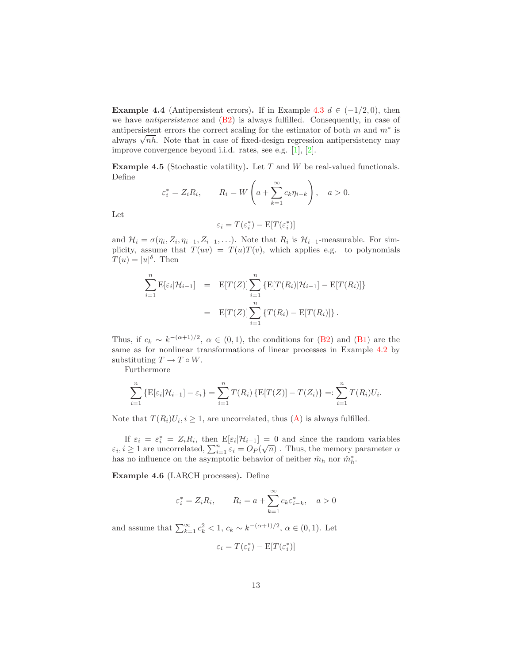Example 4.4 (Antipersistent errors). If in Example [4.3](#page-11-0)  $d \in (-1/2, 0)$ , then we have antipersistence and [\(B2\)](#page-4-5) is always fulfilled. Consequently, in case of antipersistent errors the correct scaling for the estimator of both  $m$  and  $m^*$  is always  $\sqrt{nh}$ . Note that in case of fixed-design regression antipersistency may improve convergence beyond i.i.d. rates, see e.g. [\[1\]](#page-23-0), [\[2\]](#page-23-1).

<span id="page-12-0"></span>**Example 4.5** (Stochastic volatility). Let  $T$  and  $W$  be real-valued functionals. Define

$$
\varepsilon_i^* = Z_i R_i
$$
,  $R_i = W\left(a + \sum_{k=1}^{\infty} c_k \eta_{i-k}\right)$ ,  $a > 0$ .

Let

$$
\varepsilon_i = T(\varepsilon_i^*) - \mathbf{E}[T(\varepsilon_i^*)]
$$

and  $\mathcal{H}_i = \sigma(\eta_i, Z_i, \eta_{i-1}, Z_{i-1}, \ldots)$ . Note that  $R_i$  is  $\mathcal{H}_{i-1}$ -measurable. For simplicity, assume that  $T(uv) = T(u)T(v)$ , which applies e.g. to polynomials  $T(u) = |u|^\delta$ . Then

$$
\sum_{i=1}^{n} \mathbb{E}[\varepsilon_i | \mathcal{H}_{i-1}] = \mathbb{E}[T(Z)] \sum_{i=1}^{n} \{ \mathbb{E}[T(R_i) | \mathcal{H}_{i-1}] - \mathbb{E}[T(R_i)] \}
$$

$$
= \mathbb{E}[T(Z)] \sum_{i=1}^{n} \{ T(R_i) - \mathbb{E}[T(R_i)] \}.
$$

Thus, if  $c_k \sim k^{-(\alpha+1)/2}$ ,  $\alpha \in (0,1)$ , the conditions for [\(B2\)](#page-4-5) and [\(B1\)](#page-4-2) are the same as for nonlinear transformations of linear processes in Example [4.2](#page-10-3) by substituting  $T \to T \circ W$ .

Furthermore

$$
\sum_{i=1}^{n} {\mathbb{E}[\varepsilon_i|\mathcal{H}_{i-1}] - \varepsilon_i} = \sum_{i=1}^{n} T(R_i) {\mathbb{E}[T(Z)] - T(Z_i)} =: \sum_{i=1}^{n} T(R_i)U_i.
$$

Note that  $T(R_i)U_i, i \geq 1$ , are uncorrelated, thus  $(A)$  is always fulfilled.

If  $\varepsilon_i = \varepsilon_i^* = Z_i R_i$ , then  $E[\varepsilon_i | \mathcal{H}_{i-1}] = 0$  and since the random variables  $\varepsilon_i, i \geq 1$  are uncorrelated,  $\sum_{i=1}^n \varepsilon_i = O_P(\sqrt{n})$ . Thus, the memory parameter  $\alpha$ has no influence on the asymptotic behavior of neither  $\hat{m}_h$  nor  $\hat{m}_h^*$ .

Example 4.6 (LARCH processes). Define

$$
\varepsilon_i^* = Z_i R_i
$$
,  $R_i = a + \sum_{k=1}^{\infty} c_k \varepsilon_{i-k}^*$ ,  $a > 0$ 

and assume that  $\sum_{k=1}^{\infty} c_k^2 < 1$ ,  $c_k \sim k^{-(\alpha+1)/2}$ ,  $\alpha \in (0,1)$ . Let

$$
\varepsilon_i = T(\varepsilon_i^*) - \mathbf{E}[T(\varepsilon_i^*)]
$$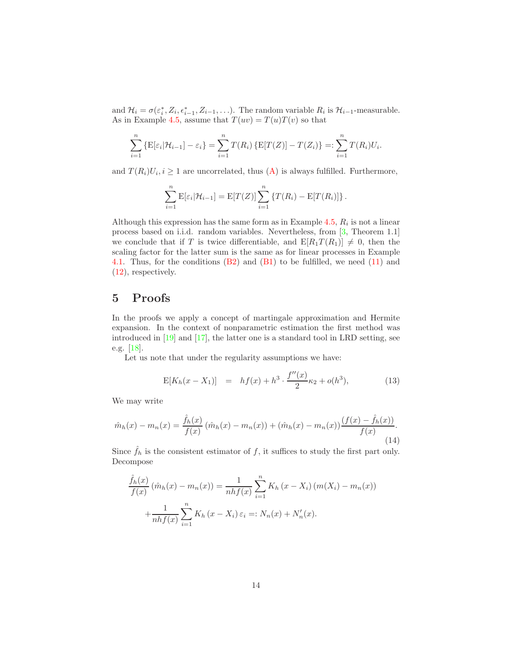and  $\mathcal{H}_i = \sigma(\varepsilon_i^*, Z_i, \varepsilon_{i-1}^*, Z_{i-1}, \ldots)$ . The random variable  $R_i$  is  $\mathcal{H}_{i-1}$ -measurable. As in Example [4.5,](#page-12-0) assume that  $T(uv) = T(u)T(v)$  so that

$$
\sum_{i=1}^{n} {\mathbb{E}[\varepsilon_i|\mathcal{H}_{i-1}] - \varepsilon_i} = \sum_{i=1}^{n} T(R_i) {\mathbb{E}[T(Z)] - T(Z_i)} =: \sum_{i=1}^{n} T(R_i)U_i.
$$

and  $T(R_i)U_i, i \geq 1$  are uncorrelated, thus  $(A)$  is always fulfilled. Furthermore,

$$
\sum_{i=1}^{n} \mathbb{E}[\varepsilon_i | \mathcal{H}_{i-1}] = \mathbb{E}[T(Z)] \sum_{i=1}^{n} \{T(R_i) - \mathbb{E}[T(R_i)]\}.
$$

Although this expression has the same form as in Example [4.5,](#page-12-0)  $R_i$  is not a linear process based on i.i.d. random variables. Nevertheless, from [\[3,](#page-23-2) Theorem 1.1] we conclude that if T is twice differentiable, and  $E[R_1T(R_1)] \neq 0$ , then the scaling factor for the latter sum is the same as for linear processes in Example [4.1.](#page-9-1) Thus, for the conditions  $(B2)$  and  $(B1)$  to be fulfilled, we need  $(11)$  and [\(12\)](#page-10-5), respectively.

## 5 Proofs

In the proofs we apply a concept of martingale approximation and Hermite expansion. In the context of nonparametric estimation the first method was introduced in [\[19\]](#page-25-1) and [\[17\]](#page-24-0), the latter one is a standard tool in LRD setting, see e.g. [\[18\]](#page-24-13).

Let us note that under the regularity assumptions we have:

$$
E[K_h(x - X_1)] = hf(x) + h^3 \cdot \frac{f''(x)}{2} \kappa_2 + o(h^3), \tag{13}
$$

<span id="page-13-0"></span>We may write

<span id="page-13-1"></span>
$$
\hat{m}_h(x) - m_n(x) = \frac{\hat{f}_h(x)}{f(x)} (\hat{m}_h(x) - m_n(x)) + (\hat{m}_h(x) - m_n(x)) \frac{(f(x) - \hat{f}_h(x))}{f(x)}.
$$
\n(14)

Since  $\hat{f}_h$  is the consistent estimator of f, it suffices to study the first part only. Decompose

$$
\frac{\hat{f}_h(x)}{f(x)} (\hat{m}_h(x) - m_n(x)) = \frac{1}{nhf(x)} \sum_{i=1}^n K_h(x - X_i) (m(X_i) - m_n(x)) + \frac{1}{nhf(x)} \sum_{i=1}^n K_h(x - X_i) \varepsilon_i =: N_n(x) + N'_n(x).
$$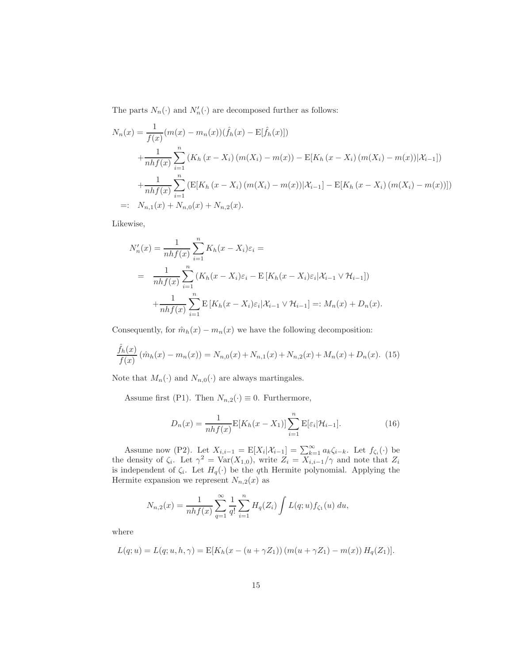The parts  $N_n(\cdot)$  and  $N'_n(\cdot)$  are decomposed further as follows:

$$
N_n(x) = \frac{1}{f(x)} (m(x) - m_n(x)) (\hat{f}_h(x) - \mathbb{E}[\hat{f}_h(x)])
$$
  
+ 
$$
\frac{1}{nh f(x)} \sum_{i=1}^n (K_h(x - X_i) (m(X_i) - m(x)) - \mathbb{E}[K_h(x - X_i) (m(X_i) - m(x)) | X_{i-1}])
$$
  
+ 
$$
\frac{1}{nh f(x)} \sum_{i=1}^n (\mathbb{E}[K_h(x - X_i) (m(X_i) - m(x)) | X_{i-1}] - \mathbb{E}[K_h(x - X_i) (m(X_i) - m(x))])
$$
  
=: 
$$
N_{n,1}(x) + N_{n,0}(x) + N_{n,2}(x).
$$

Likewise,

$$
N'_{n}(x) = \frac{1}{nhf(x)} \sum_{i=1}^{n} K_{h}(x - X_{i})\varepsilon_{i} =
$$
  
= 
$$
\frac{1}{nhf(x)} \sum_{i=1}^{n} (K_{h}(x - X_{i})\varepsilon_{i} - \mathbb{E}[K_{h}(x - X_{i})\varepsilon_{i} | X_{i-1} \vee \mathcal{H}_{i-1}])
$$
  
+ 
$$
\frac{1}{nhf(x)} \sum_{i=1}^{n} \mathbb{E}[K_{h}(x - X_{i})\varepsilon_{i} | X_{i-1} \vee \mathcal{H}_{i-1}] =: M_{n}(x) + D_{n}(x).
$$

Consequently, for  $\hat{m}_h(x) - m_n(x)$  we have the following decomposition:

$$
\frac{\hat{f}_h(x)}{f(x)}\left(\hat{m}_h(x) - m_n(x)\right) = N_{n,0}(x) + N_{n,1}(x) + N_{n,2}(x) + M_n(x) + D_n(x). \tag{15}
$$

<span id="page-14-0"></span>Note that  $M_n(\cdot)$  and  $N_{n,0}(\cdot)$  are always martingales.

Assume first (P1). Then  $N_{n,2}(\cdot) \equiv 0$ . Furthermore,

$$
D_n(x) = \frac{1}{nhf(x)} \mathbb{E}[K_h(x - X_1)] \sum_{i=1}^n \mathbb{E}[\varepsilon_i | \mathcal{H}_{i-1}].
$$
 (16)

<span id="page-14-1"></span>Assume now (P2). Let  $X_{i,i-1} = E[X_i | X_{i-1}] = \sum_{k=1}^{\infty} a_k \zeta_{i-k}$ . Let  $f_{\zeta_i}(\cdot)$  be the density of  $\zeta_i$ . Let  $\gamma^2 = \text{Var}(X_{1,0})$ , write  $Z_i = X_{i,i-1}/\gamma$  and note that  $Z_i$ is independent of  $\zeta_i$ . Let  $H_q(\cdot)$  be the qth Hermite polynomial. Applying the Hermite expansion we represent  $N_{n,2}(x)$  as

$$
N_{n,2}(x) = \frac{1}{nhf(x)} \sum_{q=1}^{\infty} \frac{1}{q!} \sum_{i=1}^{n} H_q(Z_i) \int L(q;u) f_{\zeta_1}(u) du,
$$

where

$$
L(q; u) = L(q; u, h, \gamma) = E[K_h(x - (u + \gamma Z_1)) (m(u + \gamma Z_1) - m(x)) H_q(Z_1)].
$$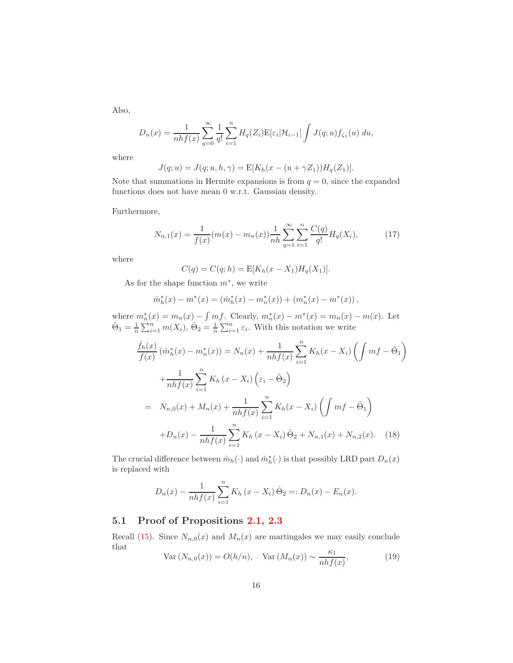Also,

$$
D_n(x) = \frac{1}{nhf(x)} \sum_{q=0}^{\infty} \frac{1}{q!} \sum_{i=1}^n H_q(Z_i) \mathbb{E}[\varepsilon_i | \mathcal{H}_{i-1}] \int J(q; u) f_{\zeta_1}(u) du,
$$

where

$$
J(q;u) = J(q;u,h,\gamma) = E[K_h(x - (u + \gamma Z_1))H_q(Z_1)].
$$

Note that summations in Hermite expansions is from  $q = 0$ , since the expanded functions does not have mean 0 w.r.t. Gaussian density.

<span id="page-15-0"></span>Furthermore,

$$
N_{n,1}(x) = \frac{1}{f(x)} (m(x) - m_n(x)) \frac{1}{nh} \sum_{q=1}^{\infty} \sum_{i=1}^{n} \frac{C(q)}{q!} H_q(X_i), \tag{17}
$$

where

$$
C(q) = C(q; h) = E[K_h(x - X_1)H_q(X_1)].
$$

As for the shape function  $m^*$ , we write

$$
\hat{m}_h^*(x) - m^*(x) = (\hat{m}_h^*(x) - m_n^*(x)) + (m_n^*(x) - m^*(x)),
$$

<span id="page-15-1"></span>where  $m_n^*(x) = m_n(x) - \int mf$ . Clearly,  $m_n^*(x) - m^*(x) = m_n(x) - m(x)$ . Let  $\hat{\Theta}_1 = \frac{1}{n} \sum_{i=1}^n m(X_i), \hat{\Theta}_2 = \frac{1}{n} \sum_{i=1}^n \varepsilon_i$ . With this notation we write

$$
\frac{\hat{f}_h(x)}{f(x)} \left( \hat{m}_h^*(x) - m_n^*(x) \right) = N_n(x) + \frac{1}{nhf(x)} \sum_{i=1}^n K_h(x - X_i) \left( \int mf - \hat{\Theta}_1 \right)
$$

$$
+ \frac{1}{nhf(x)} \sum_{i=1}^n K_h(x - X_i) \left( \varepsilon_i - \hat{\Theta}_2 \right)
$$

$$
= N_{n,0}(x) + M_n(x) + \frac{1}{nhf(x)} \sum_{i=1}^n K_h(x - X_i) \left( \int mf - \hat{\Theta}_1 \right)
$$

$$
+ D_n(x) - \frac{1}{nhf(x)} \sum_{i=1}^n K_h(x - X_i) \hat{\Theta}_2 + N_{n,1}(x) + N_{n,2}(x). \quad (18)
$$

The crucial difference between  $\hat{m}_h(\cdot)$  and  $\hat{m}_h^*(\cdot)$  is that possibly LRD part  $D_n(x)$ is replaced with

$$
D_n(x) - \frac{1}{nhf(x)} \sum_{i=1}^n K_h(x - X_i) \hat{\Theta}_2 =: D_n(x) - E_n(x).
$$

### 5.1 Proof of Propositions [2.1,](#page-4-8) [2.3](#page-4-7)

<span id="page-15-2"></span>Recall [\(15\)](#page-14-0). Since  $N_{n,0}(x)$  and  $M_n(x)$  are martingales we may easily conclude that

$$
\text{Var}\left(N_{n,0}(x)\right) = O(h/n), \quad \text{Var}\left(M_n(x)\right) \sim \frac{\kappa_1}{nhf(x)},\tag{19}
$$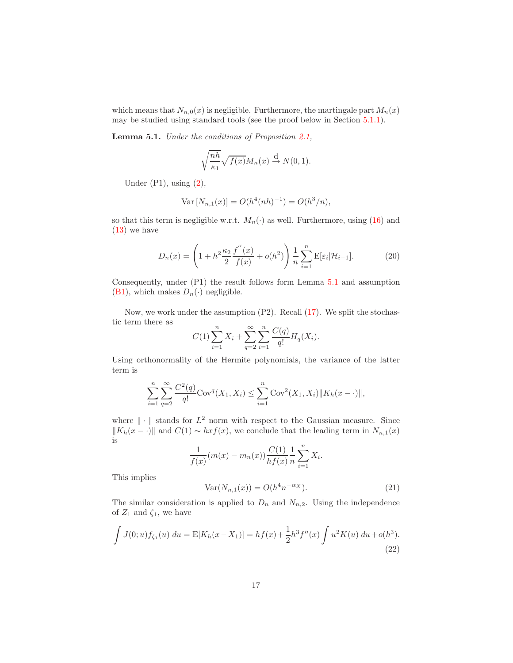<span id="page-16-0"></span>which means that  $N_{n,0}(x)$  is negligible. Furthermore, the martingale part  $M_n(x)$ may be studied using standard tools (see the proof below in Section [5.1.1\)](#page-18-0).

Lemma 5.1. Under the conditions of Proposition [2.1,](#page-4-8)

$$
\sqrt{\frac{nh}{\kappa_1}} \sqrt{f(x)} M_n(x) \stackrel{\text{d}}{\to} N(0, 1).
$$

Under  $(P1)$ , using  $(2)$ ,

$$
Var[N_{n,1}(x)] = O(h^4(nh)^{-1}) = O(h^3/n),
$$

so that this term is negligible w.r.t.  $M_n(\cdot)$  as well. Furthermore, using [\(16\)](#page-14-1) and [\(13\)](#page-13-0) we have

$$
D_n(x) = \left(1 + h^2 \frac{\kappa_2}{2} \frac{f''(x)}{f(x)} + o(h^2)\right) \frac{1}{n} \sum_{i=1}^n \mathbf{E}[\varepsilon_i | \mathcal{H}_{i-1}].
$$
 (20)

<span id="page-16-2"></span>Consequently, under (P1) the result follows form Lemma [5.1](#page-16-0) and assumption [\(B1\)](#page-4-2), which makes  $D_n(\cdot)$  negligible.

Now, we work under the assumption (P2). Recall [\(17\)](#page-15-0). We split the stochastic term there as

$$
C(1)\sum_{i=1}^{n} X_i + \sum_{q=2}^{\infty} \sum_{i=1}^{n} \frac{C(q)}{q!} H_q(X_i).
$$

Using orthonormality of the Hermite polynomials, the variance of the latter term is

$$
\sum_{i=1}^{n} \sum_{q=2}^{\infty} \frac{C^2(q)}{q!} \text{Cov}^q(X_1, X_i) \le \sum_{i=1}^{n} \text{Cov}^2(X_1, X_i) \|K_h(x - \cdot)\|,
$$

where  $\|\cdot\|$  stands for  $L^2$  norm with respect to the Gaussian measure. Since  $||K_h(x - \cdot)||$  and  $C(1) \sim hxf(x)$ , we conclude that the leading term in  $N_{n,1}(x)$ is

$$
\frac{1}{f(x)}(m(x) - m_n(x)) \frac{C(1)}{hf(x)} \frac{1}{n} \sum_{i=1}^{n} X_i.
$$

<span id="page-16-3"></span>This implies

$$
Var(N_{n,1}(x)) = O(h^4 n^{-\alpha x}). \tag{21}
$$

The similar consideration is applied to  $D_n$  and  $N_{n,2}$ . Using the independence of  $Z_1$  and  $\zeta_1$ , we have

<span id="page-16-1"></span>
$$
\int J(0;u) f_{\zeta_1}(u) du = \mathbb{E}[K_h(x - X_1)] = h f(x) + \frac{1}{2} h^3 f''(x) \int u^2 K(u) du + o(h^3).
$$
\n(22)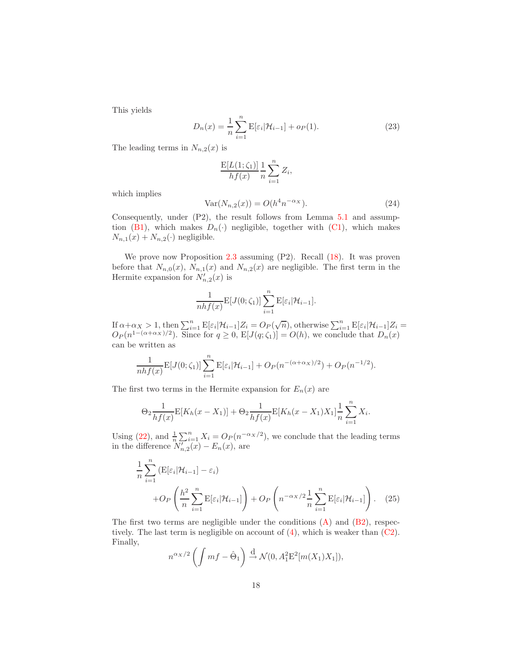<span id="page-17-0"></span>This yields

$$
D_n(x) = \frac{1}{n} \sum_{i=1}^n E[\varepsilon_i | \mathcal{H}_{i-1}] + o_P(1).
$$
 (23)

The leading terms in  $N_{n,2}(x)$  is

$$
\frac{\mathbf{E}[L(1;\zeta_1)]}{hf(x)}\frac{1}{n}\sum_{i=1}^n Z_i,
$$

<span id="page-17-1"></span>which implies

$$
Var(N_{n,2}(x)) = O(h^4 n^{-\alpha_X}).
$$
\n(24)

Consequently, under (P2), the result follows from Lemma [5.1](#page-16-0) and assump-tion [\(B1\)](#page-4-2), which makes  $D_n(\cdot)$  negligible, together with [\(C1\)](#page-4-3), which makes  $N_{n,1}(x) + N_{n,2}(\cdot)$  negligible.

We prove now Proposition [2.3](#page-4-7) assuming (P2). Recall [\(18\)](#page-15-1). It was proven before that  $N_{n,0}(x)$ ,  $N_{n,1}(x)$  and  $N_{n,2}(x)$  are negligible. The first term in the Hermite expansion for  $N'_{n,2}(x)$  is

$$
\frac{1}{nhf(x)}\mathbf{E}[J(0;\zeta_1)]\sum_{i=1}^n\mathbf{E}[\varepsilon_i|\mathcal{H}_{i-1}].
$$

If  $\alpha + \alpha_X > 1$ , then  $\sum_{i=1}^n E[\varepsilon_i | \mathcal{H}_{i-1}]Z_i = O_P(\sqrt{n})$ , otherwise  $\sum_{i=1}^n E[\varepsilon_i | \mathcal{H}_{i-1}]Z_i =$  $O_P(n^{1-(\alpha+\alpha_X)/2})$ . Since for  $q \ge 0$ ,  $E[J(q;\zeta_1)] = O(h)$ , we conclude that  $D_n(x)$ can be written as

$$
\frac{1}{nhf(x)}\mathbf{E}[J(0;\zeta_1)]\sum_{i=1}^n\mathbf{E}[\varepsilon_i|\mathcal{H}_{i-1}] + O_P(n^{-(\alpha+\alpha_X)/2}) + O_P(n^{-1/2}).
$$

The first two terms in the Hermite expansion for  $E_n(x)$  are

$$
\Theta_2 \frac{1}{hf(x)} \mathbb{E}[K_h(x - X_1)] + \Theta_2 \frac{1}{hf(x)} \mathbb{E}[K_h(x - X_1)X_1] \frac{1}{n} \sum_{i=1}^n X_i.
$$

<span id="page-17-2"></span>Using [\(22\)](#page-16-1), and  $\frac{1}{n} \sum_{i=1}^{n} X_i = O_P(n^{-\alpha X/2})$ , we conclude that the leading terms in the difference  $N'_{n,2}(x) - E_n(x)$ , are

$$
\frac{1}{n} \sum_{i=1}^{n} \left( \mathbb{E}[\varepsilon_i | \mathcal{H}_{i-1}] - \varepsilon_i \right)
$$

$$
+ O_P \left( \frac{h^2}{n} \sum_{i=1}^{n} \mathbb{E}[\varepsilon_i | \mathcal{H}_{i-1}] \right) + O_P \left( n^{-\alpha x/2} \frac{1}{n} \sum_{i=1}^{n} \mathbb{E}[\varepsilon_i | \mathcal{H}_{i-1}] \right). \tag{25}
$$

The first two terms are negligible under the conditions  $(A)$  and  $(B2)$ , respectively. The last term is negligible on account of  $(4)$ , which is weaker than  $(C2)$ . Finally,

$$
n^{\alpha_X/2}\left(\int mf - \hat{\Theta}_1\right) \stackrel{\mathrm{d}}{\rightarrow} \mathcal{N}(0, A_1^2 \mathbb{E}^2[m(X_1)X_1]),
$$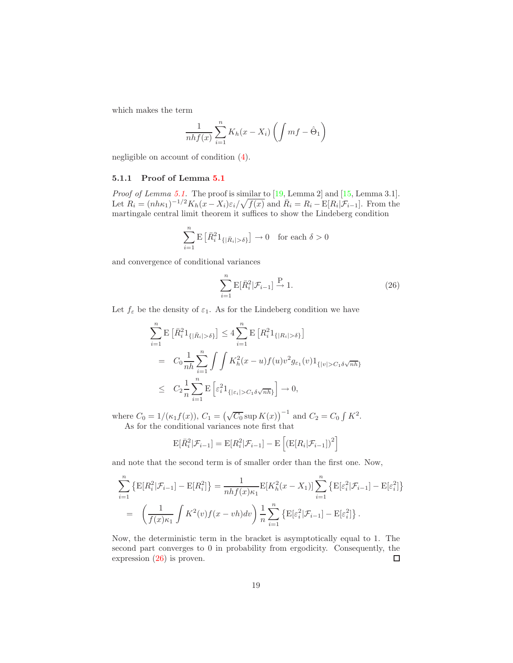which makes the term

$$
\frac{1}{nhf(x)}\sum_{i=1}^{n}K_h(x-X_i)\left(\int mf-\hat{\Theta}_1\right)
$$

negligible on account of condition [\(4\)](#page-5-2).

### <span id="page-18-0"></span>5.1.1 Proof of Lemma [5.1](#page-16-0)

*Proof of Lemma [5.1.](#page-16-0)* The proof is similar to  $[19, \text{Lemma 2}]$  and  $[15, \text{Lemma 3.1}]$ . Let  $R_i = (nh\kappa_1)^{-1/2}K_h(x - X_i)\varepsilon_i/\sqrt{f(x)}$  and  $\bar{R}_i = R_i - E[R_i|\mathcal{F}_{i-1}]$ . From the martingale central limit theorem it suffices to show the Lindeberg condition

$$
\sum_{i=1}^{n} \mathbf{E} \left[ \bar{R}_{i}^{2} \mathbf{1}_{\{|\bar{R}_{i}| > \delta\}} \right] \to 0 \quad \text{for each } \delta > 0
$$

and convergence of conditional variances

$$
\sum_{i=1}^{n} \mathbb{E}[\bar{R}_{i}^{2} | \mathcal{F}_{i-1}] \xrightarrow{\mathbf{P}} 1.
$$
 (26)

Let  $f_{\varepsilon}$  be the density of  $\varepsilon_1$ . As for the Lindeberg condition we have

<span id="page-18-1"></span>
$$
\sum_{i=1}^{n} \mathbf{E} \left[ \bar{R}_{i}^{2} 1_{\{|\bar{R}_{i}| > \delta\}} \right] \leq 4 \sum_{i=1}^{n} \mathbf{E} \left[ R_{i}^{2} 1_{\{|R_{i}| > \delta\}} \right]
$$
  
=  $C_{0} \frac{1}{nh} \sum_{i=1}^{n} \int \int K_{h}^{2}(x - u) f(u) v^{2} g_{\varepsilon_{1}}(v) 1_{\{|v| > C_{1} \delta \sqrt{nh}\}} \leq C_{2} \frac{1}{n} \sum_{i=1}^{n} \mathbf{E} \left[ \varepsilon_{i}^{2} 1_{\{|\varepsilon_{i}| > C_{1} \delta \sqrt{nh}\}} \right] \to 0,$ 

where  $C_0 = 1/(\kappa_1 f(x))$ ,  $C_1 = (\sqrt{C_0} \sup K(x))^{-1}$  and  $C_2 = C_0 \int K^2$ . As for the conditional variances note first that

$$
\mathbb{E}[\bar{R}_i^2|\mathcal{F}_{i-1}] = \mathbb{E}[R_i^2|\mathcal{F}_{i-1}] - \mathbb{E}\left[\left(\mathbb{E}[R_i|\mathcal{F}_{i-1}]\right)^2\right]
$$

and note that the second term is of smaller order than the first one. Now,

$$
\sum_{i=1}^{n} \left\{ E[R_i^2 | \mathcal{F}_{i-1}] - E[R_i^2] \right\} = \frac{1}{nhf(x)\kappa_1} E[K_h^2(x - X_1)] \sum_{i=1}^{n} \left\{ E[\varepsilon_i^2 | \mathcal{F}_{i-1}] - E[\varepsilon_i^2] \right\}
$$

$$
= \left( \frac{1}{f(x)\kappa_1} \int K^2(v)f(x - vh)dv \right) \frac{1}{n} \sum_{i=1}^{n} \left\{ E[\varepsilon_i^2 | \mathcal{F}_{i-1}] - E[\varepsilon_i^2] \right\}.
$$

Now, the deterministic term in the bracket is asymptotically equal to 1. The second part converges to 0 in probability from ergodicity. Consequently, the expression [\(26\)](#page-18-1) is proven.  $\Box$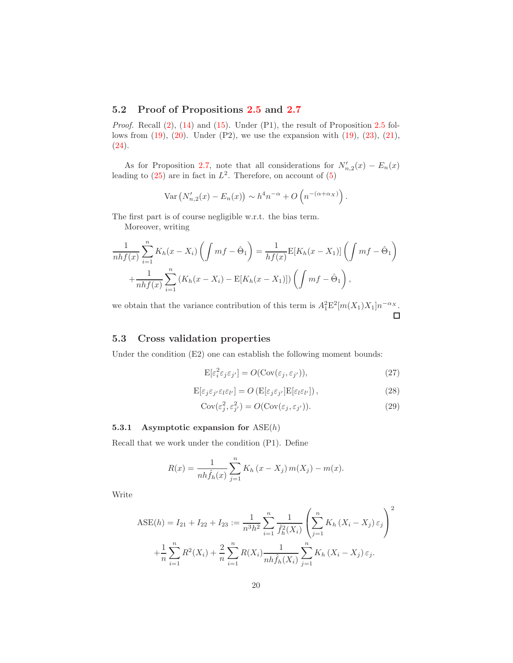### 5.2 Proof of Propositions [2.5](#page-5-1) and [2.7](#page-6-2)

Proof. Recall  $(2)$ ,  $(14)$  and  $(15)$ . Under  $(P1)$ , the result of Proposition [2.5](#page-5-1) follows from  $(19)$ ,  $(20)$ . Under  $(P2)$ , we use the expansion with  $(19)$ ,  $(23)$ ,  $(21)$ ,  $(24).$  $(24).$ 

As for Proposition [2.7,](#page-6-2) note that all considerations for  $N'_{n,2}(x) - E_n(x)$ leading to  $(25)$  are in fact in  $L^2$ . Therefore, on account of  $(5)$ 

$$
\text{Var}\left(N'_{n,2}(x) - E_n(x)\right) \sim h^4 n^{-\alpha} + O\left(n^{-(\alpha + \alpha_X)}\right).
$$

The first part is of course negligible w.r.t. the bias term.

Moreover, writing

$$
\frac{1}{nhf(x)}\sum_{i=1}^{n}K_h(x-X_i)\left(\int mf - \hat{\Theta}_1\right) = \frac{1}{hf(x)}\mathbb{E}[K_h(x-X_1)]\left(\int mf - \hat{\Theta}_1\right)
$$

$$
+\frac{1}{nhf(x)}\sum_{i=1}^{n}\left(K_h(x-X_i) - \mathbb{E}[K_h(x-X_1)]\right)\left(\int mf - \hat{\Theta}_1\right),
$$

we obtain that the variance contribution of this term is  $A_1^2 \mathcal{E}^2[m(X_1)X_1]n^{-\alpha_X}$ .  $\Box$ 

### 5.3 Cross validation properties

<span id="page-19-1"></span><span id="page-19-0"></span>Under the condition (E2) one can establish the following moment bounds:

$$
E[\varepsilon_i^2 \varepsilon_j \varepsilon_{j'}] = O(\text{Cov}(\varepsilon_j, \varepsilon_{j'})),\tag{27}
$$

$$
E[\varepsilon_j \varepsilon_{j'} \varepsilon_l \varepsilon_{l'}] = O(E[\varepsilon_j \varepsilon_{j'}] E[\varepsilon_l \varepsilon_{l'}]),
$$
\n(28)

$$
Cov(\varepsilon_j^2, \varepsilon_{j'}^2) = O(Cov(\varepsilon_j, \varepsilon_{j'})).
$$
\n(29)

### <span id="page-19-2"></span>5.3.1 Asymptotic expansion for  $ASE(h)$

Recall that we work under the condition (P1). Define

$$
R(x) = \frac{1}{nh\hat{f}_h(x)}\sum_{j=1}^n K_h(x - X_j) m(X_j) - m(x).
$$

Write

$$
\text{ASE}(h) = I_{21} + I_{22} + I_{23} := \frac{1}{n^3 h^2} \sum_{i=1}^n \frac{1}{\hat{f}_h^2(X_i)} \left( \sum_{j=1}^n K_h (X_i - X_j) \varepsilon_j \right)^2
$$

$$
+ \frac{1}{n} \sum_{i=1}^n R^2(X_i) + \frac{2}{n} \sum_{i=1}^n R(X_i) \frac{1}{nh \hat{f}_h(X_i)} \sum_{j=1}^n K_h (X_i - X_j) \varepsilon_j.
$$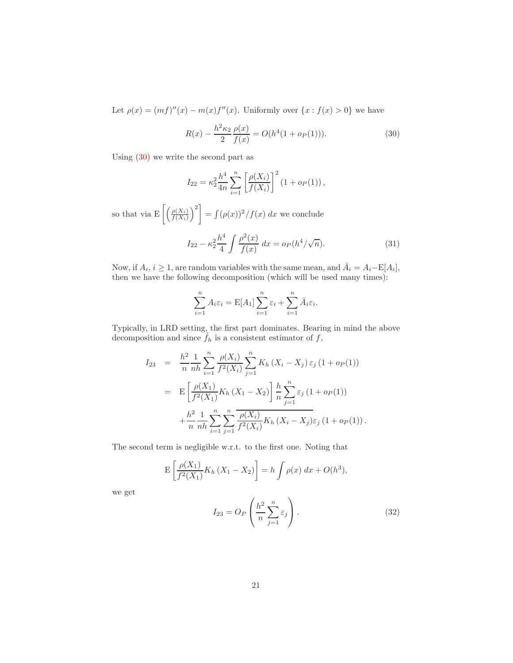<span id="page-20-0"></span>Let  $\rho(x) = (mf)''(x) - m(x)f''(x)$ . Uniformly over  $\{x : f(x) > 0\}$  we have

$$
R(x) - \frac{h^2 \kappa_2}{2} \frac{\rho(x)}{f(x)} = O(h^4(1 + o_P(1))).
$$
\n(30)

Using [\(30\)](#page-20-0) we write the second part as

$$
I_{22} = \kappa_2^2 \frac{h^4}{4n} \sum_{i=1}^n \left[ \frac{\rho(X_i)}{f(X_i)} \right]^2 (1 + o_P(1)),
$$

so that via  $E\left[\left(\frac{\rho(X_i)}{f(X_i)}\right)\right]$  $f(X_i)$  $\setminus^2$  $=\int (\rho(x))^2/f(x) dx$  we conclude

$$
I_{22} - \kappa_2^2 \frac{h^4}{4} \int \frac{\rho^2(x)}{f(x)} dx = o_P(h^4/\sqrt{n}).
$$
 (31)

<span id="page-20-1"></span>Now, if  $A_i$ ,  $i \geq 1$ , are random variables with the same mean, and  $\bar{A}_i = A_i - E[A_i]$ , then we have the following decomposition (which will be used many times):

$$
\sum_{i=1}^{n} A_i \varepsilon_i = \mathbb{E}[A_1] \sum_{i=1}^{n} \varepsilon_i + \sum_{i=1}^{n} \bar{A}_i \varepsilon_i.
$$

Typically, in LRD setting, the first part dominates. Bearing in mind the above decomposition and since  $f_h$  is a consistent estimator of  $f$ ,

$$
I_{23} = \frac{h^2}{n} \frac{1}{nh} \sum_{i=1}^n \frac{\rho(X_i)}{f^2(X_i)} \sum_{j=1}^n K_h (X_i - X_j) \varepsilon_j (1 + o_P(1))
$$
  
= 
$$
E \left[ \frac{\rho(X_1)}{f^2(X_1)} K_h (X_1 - X_2) \right] \frac{h}{n} \sum_{j=1}^n \varepsilon_j (1 + o_P(1))
$$
  
+ 
$$
\frac{h^2}{n} \frac{1}{nh} \sum_{i=1}^n \sum_{j=1}^n \frac{\rho(X_i)}{f^2(X_i)} K_h (X_i - X_j) \varepsilon_j (1 + o_P(1)).
$$

The second term is negligible w.r.t. to the first one. Noting that

$$
E\left[\frac{\rho(X_1)}{f^2(X_1)}K_h(X_1 - X_2)\right] = h\int \rho(x) \, dx + O(h^3),
$$

<span id="page-20-2"></span>we get

$$
I_{23} = O_P\left(\frac{h^2}{n}\sum_{j=1}^n \varepsilon_j\right). \tag{32}
$$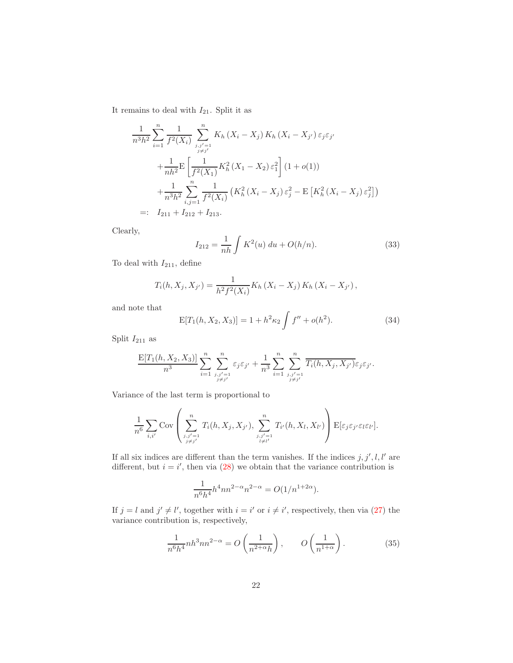It remains to deal with  $I_{21}$ . Split it as

$$
\frac{1}{n^3h^2} \sum_{i=1}^n \frac{1}{f^2(X_i)} \sum_{\substack{j,j'=1 \ j \neq j'}}^n K_h(X_i - X_j) K_h(X_i - X_{j'}) \varepsilon_j \varepsilon_{j'}
$$

$$
+ \frac{1}{nh^2} \mathbb{E} \left[ \frac{1}{f^2(X_1)} K_h^2(X_1 - X_2) \varepsilon_1^2 \right] (1 + o(1))
$$

$$
+ \frac{1}{n^3h^2} \sum_{i,j=1}^n \frac{1}{f^2(X_i)} \left( K_h^2(X_i - X_j) \varepsilon_j^2 - \mathbb{E} \left[ K_h^2(X_i - X_j) \varepsilon_j^2 \right] \right)
$$

$$
=: I_{211} + I_{212} + I_{213}.
$$

<span id="page-21-2"></span>Clearly,

$$
I_{212} = \frac{1}{nh} \int K^2(u) \, du + O(h/n). \tag{33}
$$

To deal with  $I_{211}$ , define

$$
T_i(h, X_j, X_{j'}) = \frac{1}{h^2 f^2(X_i)} K_h (X_i - X_j) K_h (X_i - X_{j'}),
$$

<span id="page-21-0"></span>and note that

$$
E[T_1(h, X_2, X_3)] = 1 + h^2 \kappa_2 \int f'' + o(h^2).
$$
 (34)

Split  $\mathcal{I}_{211}$  as

$$
\frac{\mathbf{E}[T_1(h,X_2,X_3)]}{n^3}\sum_{i=1}^n\sum_{\substack{j,j'=1 \ j\neq j'}}^n\varepsilon_j\varepsilon_{j'}+\frac{1}{n^3}\sum_{i=1}^n\sum_{\substack{j,j'=1 \ j\neq j'}}^n\overline{T_i(h,X_j,X_{j'})}\varepsilon_j\varepsilon_{j'}.
$$

Variance of the last term is proportional to

 $\overline{a}$ 

$$
\frac{1}{n^6} \sum_{i,i'} \text{Cov}\left(\sum_{\substack{j,j'=1 \ j \neq j'}}^{n} T_i(h, X_j, X_{j'}), \sum_{\substack{j,j'=1 \ j \neq l'}}^{n} T_{i'}(h, X_l, X_{l'})\right) \text{E}[\varepsilon_j \varepsilon_{j'} \varepsilon_l \varepsilon_{l'}].
$$

If all six indices are different than the term vanishes. If the indices  $j, j', l, l'$  are different, but  $i = i'$ , then via [\(28\)](#page-19-0) we obtain that the variance contribution is

$$
\frac{1}{n^6 h^4} h^4 n n^{2-\alpha} n^{2-\alpha} = O(1/n^{1+2\alpha}).
$$

<span id="page-21-1"></span>If  $j = l$  and  $j' \neq l'$ , together with  $i = i'$  or  $i \neq i'$ , respectively, then via [\(27\)](#page-19-1) the variance contribution is, respectively,

$$
\frac{1}{n^6 h^4} n h^3 n n^{2-\alpha} = O\left(\frac{1}{n^{2+\alpha} h}\right), \qquad O\left(\frac{1}{n^{1+\alpha}}\right). \tag{35}
$$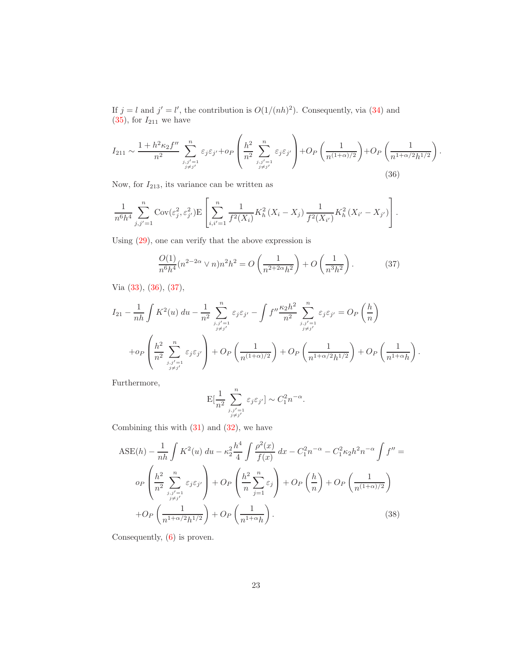If  $j = l$  and  $j' = l'$ , the contribution is  $O(1/(nh)^2)$ . Consequently, via [\(34\)](#page-21-0) and  $(35)$ , for  $I_{211}$  we have

<span id="page-22-0"></span>
$$
I_{211} \sim \frac{1 + h^2 \kappa_2 f''}{n^2} \sum_{\substack{j,j'=1 \ j \neq j'}}^{n} \varepsilon_j \varepsilon_{j'} + op\left(\frac{h^2}{n^2} \sum_{\substack{j,j'=1 \ j \neq j'}}^{n} \varepsilon_j \varepsilon_{j'}\right) + Op\left(\frac{1}{n^{(1+\alpha)/2}}\right) + Op\left(\frac{1}{n^{1+\alpha/2}h^{1/2}}\right).
$$
\n(36)

Now, for  $I_{213}$ , its variance can be written as

$$
\frac{1}{n^6h^4} \sum_{j,j'=1}^n \text{Cov}(\varepsilon_j^2, \varepsilon_{j'}^2) \mathbb{E}\left[\sum_{i,i'=1}^n \frac{1}{f^2(X_i)} K_h^2(X_i - X_j) \frac{1}{f^2(X_{i'})} K_h^2(X_{i'} - X_{j'})\right].
$$

<span id="page-22-1"></span>Using [\(29\)](#page-19-2), one can verify that the above expression is

$$
\frac{O(1)}{n^6 h^4} (n^{2-2\alpha} \vee n) n^2 h^2 = O\left(\frac{1}{n^{2+2\alpha} h^2}\right) + O\left(\frac{1}{n^3 h^2}\right). \tag{37}
$$

Via [\(33\)](#page-21-2), [\(36\)](#page-22-0), [\(37\)](#page-22-1),

$$
I_{21} - \frac{1}{nh} \int K^2(u) du - \frac{1}{n^2} \sum_{\substack{j,j'=1 \ j \neq j'}}^n \varepsilon_j \varepsilon_{j'} - \int f'' \frac{\kappa_2 h^2}{n^2} \sum_{\substack{j,j'=1 \ j \neq j'}}^n \varepsilon_j \varepsilon_{j'} = O_P\left(\frac{h}{n}\right)
$$
  
+ 
$$
+ o_P\left(\frac{h^2}{n^2} \sum_{\substack{j,j'=1 \ j \neq j'}}^n \varepsilon_j \varepsilon_{j'}\right) + O_P\left(\frac{1}{n^{(1+\alpha)/2}}\right) + O_P\left(\frac{1}{n^{1+\alpha/2}h^{1/2}}\right) + O_P\left(\frac{1}{n^{1+\alpha}h}\right).
$$

Furthermore,

$$
\mathbf{E}[\frac{1}{n^2}\sum_{\stackrel{j,j'=1}{j\ne j'}}^n \varepsilon_j\varepsilon_{j'}] \sim C_1^2 n^{-\alpha}.
$$

<span id="page-22-2"></span>Combining this with  $(31)$  and  $(32)$ , we have

$$
\text{ASE}(h) - \frac{1}{nh} \int K^2(u) \, du - \kappa_2^2 \frac{h^4}{4} \int \frac{\rho^2(x)}{f(x)} \, dx - C_1^2 n^{-\alpha} - C_1^2 \kappa_2 h^2 n^{-\alpha} \int f'' =
$$
\n
$$
o_P \left( \frac{h^2}{n^2} \sum_{\substack{j,j'=1 \ j \neq j'}}^{n} \varepsilon_j \varepsilon_{j'} \right) + O_P \left( \frac{h^2}{n} \sum_{j=1}^n \varepsilon_j \right) + O_P \left( \frac{h}{n} \right) + O_P \left( \frac{1}{n^{(1+\alpha)/2}} \right)
$$
\n
$$
+ O_P \left( \frac{1}{n^{1+\alpha/2} h^{1/2}} \right) + O_P \left( \frac{1}{n^{1+\alpha} h} \right). \tag{38}
$$

Consequently, [\(6\)](#page-7-0) is proven.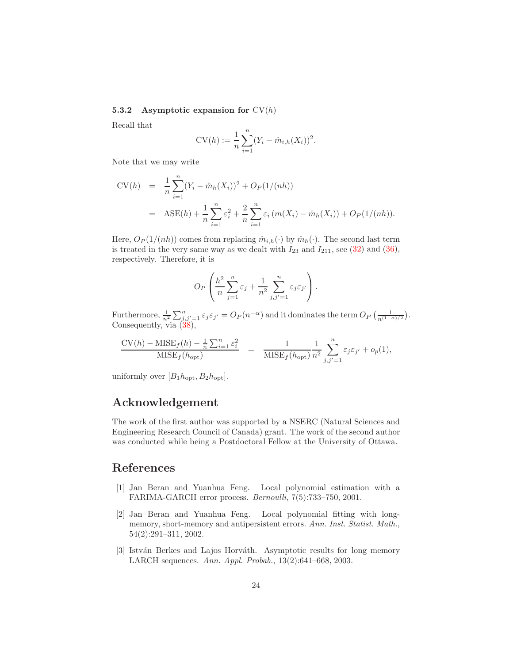### 5.3.2 Asymptotic expansion for  $CV(h)$

Recall that

$$
CV(h) := \frac{1}{n} \sum_{i=1}^{n} (Y_i - \hat{m}_{i,h}(X_i))^2.
$$

Note that we may write

$$
CV(h) = \frac{1}{n} \sum_{i=1}^{n} (Y_i - \hat{m}_h(X_i))^2 + O_P(1/(nh))
$$
  
= 
$$
ASE(h) + \frac{1}{n} \sum_{i=1}^{n} \varepsilon_i^2 + \frac{2}{n} \sum_{i=1}^{n} \varepsilon_i (m(X_i) - \hat{m}_h(X_i)) + O_P(1/(nh)).
$$

Here,  $O_P(1/(nh))$  comes from replacing  $\hat{m}_{i,h}(\cdot)$  by  $\hat{m}_{h}(\cdot)$ . The second last term is treated in the very same way as we dealt with  $I_{23}$  and  $I_{211}$ , see [\(32\)](#page-20-2) and [\(36\)](#page-22-0), respectively. Therefore, it is

$$
O_P\left(\frac{h^2}{n}\sum_{j=1}^n \varepsilon_j + \frac{1}{n^2}\sum_{j,j'=1}^n \varepsilon_j \varepsilon_{j'}\right).
$$

Furthermore,  $\frac{1}{n^2} \sum_{j,j'=1}^n \varepsilon_j \varepsilon_{j'} = O_P(n^{-\alpha})$  and it dominates the term  $O_P\left(\frac{1}{n^{(1+\alpha)/2}}\right)$ . Consequently, via  $(38)$ ,

$$
\frac{\text{CV}(h) - \text{MISE}_{f}(h) - \frac{1}{n} \sum_{i=1}^{n} \varepsilon_{i}^{2}}{\text{MISE}_{f}(h_{\text{opt}})} = \frac{1}{\text{MISE}_{f}(h_{\text{opt}})} \frac{1}{n^{2}} \sum_{j,j'=1}^{n} \varepsilon_{j} \varepsilon_{j'} + o_{p}(1),
$$

uniformly over  $[B_1h_{opt}, B_2h_{opt}].$ 

## Acknowledgement

The work of the first author was supported by a NSERC (Natural Sciences and Engineering Research Council of Canada) grant. The work of the second author was conducted while being a Postdoctoral Fellow at the University of Ottawa.

## <span id="page-23-0"></span>References

- <span id="page-23-1"></span>[1] Jan Beran and Yuanhua Feng. Local polynomial estimation with a FARIMA-GARCH error process. Bernoulli, 7(5):733–750, 2001.
- [2] Jan Beran and Yuanhua Feng. Local polynomial fitting with longmemory, short-memory and antipersistent errors. Ann. Inst. Statist. Math., 54(2):291–311, 2002.
- <span id="page-23-2"></span>[3] István Berkes and Lajos Horváth. Asymptotic results for long memory LARCH sequences. Ann. Appl. Probab., 13(2):641–668, 2003.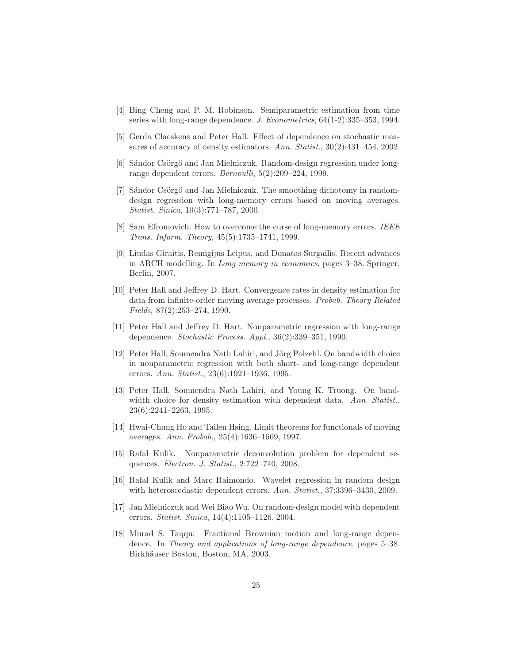- <span id="page-24-10"></span><span id="page-24-1"></span>[4] Bing Cheng and P. M. Robinson. Semiparametric estimation from time series with long-range dependence. J. Econometrics, 64(1-2):335–353, 1994.
- <span id="page-24-2"></span>[5] Gerda Claeskens and Peter Hall. Effect of dependence on stochastic measures of accuracy of density estimators. Ann. Statist., 30(2):431-454, 2002.
- [6] Sándor Csörgő and Jan Mielniczuk. Random-design regression under longrange dependent errors. Bernoulli, 5(2):209–224, 1999.
- <span id="page-24-3"></span>[7] Sándor Csörgő and Jan Mielniczuk. The smoothing dichotomy in randomdesign regression with long-memory errors based on moving averages. Statist. Sinica, 10(3):771–787, 2000.
- <span id="page-24-4"></span>[8] Sam Efromovich. How to overcome the curse of long-memory errors. IEEE Trans. Inform. Theory, 45(5):1735–1741, 1999.
- <span id="page-24-11"></span>[9] Liudas Giraitis, Remigijus Leipus, and Donatas Surgailis. Recent advances in ARCH modelling. In Long memory in economics, pages 3–38. Springer, Berlin, 2007.
- <span id="page-24-6"></span>[10] Peter Hall and Jeffrey D. Hart. Convergence rates in density estimation for data from infinite-order moving average processes. Probab. Theory Related Fields, 87(2):253–274, 1990.
- <span id="page-24-7"></span>[11] Peter Hall and Jeffrey D. Hart. Nonparametric regression with long-range dependence. Stochastic Process. Appl., 36(2):339–351, 1990.
- <span id="page-24-8"></span>[12] Peter Hall, Soumendra Nath Lahiri, and Jörg Polzehl. On bandwidth choice in nonparametric regression with both short- and long-range dependent errors. Ann. Statist., 23(6):1921–1936, 1995.
- <span id="page-24-9"></span>[13] Peter Hall, Soumendra Nath Lahiri, and Young K. Truong. On bandwidth choice for density estimation with dependent data. Ann. Statist., 23(6):2241–2263, 1995.
- <span id="page-24-12"></span>[14] Hwai-Chung Ho and Tailen Hsing. Limit theorems for functionals of moving averages. Ann. Probab., 25(4):1636–1669, 1997.
- <span id="page-24-14"></span>[15] Rafał Kulik. Nonparametric deconvolution problem for dependent sequences. Electron. J. Statist., 2:722–740, 2008.
- <span id="page-24-5"></span>[16] Rafał Kulik and Marc Raimondo. Wavelet regression in random design with heteroscedastic dependent errors. Ann. Statist., 37:3396-3430, 2009.
- <span id="page-24-0"></span>[17] Jan Mielniczuk and Wei Biao Wu. On random-design model with dependent errors. Statist. Sinica, 14(4):1105–1126, 2004.
- <span id="page-24-13"></span>[18] Murad S. Taqqu. Fractional Brownian motion and long-range dependence. In Theory and applications of long-range dependence, pages 5–38. Birkhäuser Boston, Boston, MA, 2003.